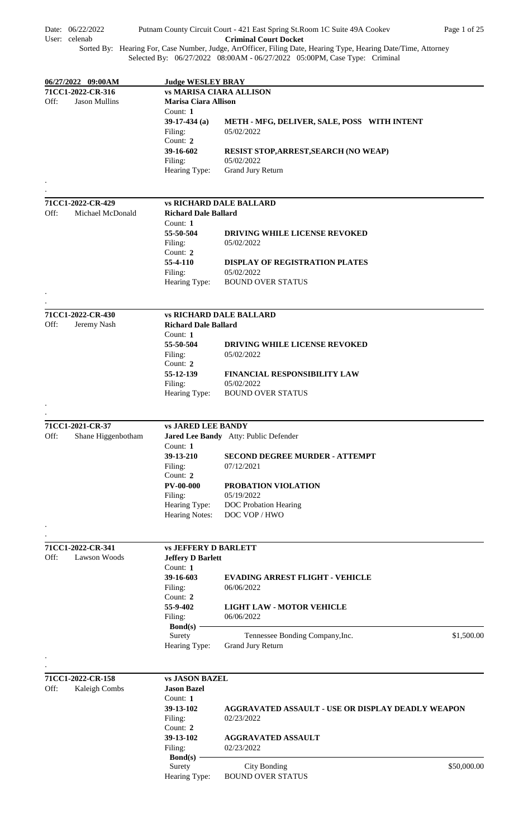| Date: 06/22/2022<br>User: celenab                 |                                                         | Putnam County Circuit Court - 421 East Spring St. Room 1C Suite 49A Cookev<br>Page 1 of 25<br><b>Criminal Court Docket</b>                                                                  |
|---------------------------------------------------|---------------------------------------------------------|---------------------------------------------------------------------------------------------------------------------------------------------------------------------------------------------|
|                                                   |                                                         | Sorted By: Hearing For, Case Number, Judge, ArrOfficer, Filing Date, Hearing Type, Hearing Date/Time, Attorney<br>Selected By: 06/27/2022 08:00AM - 06/27/2022 05:00PM, Case Type: Criminal |
|                                                   |                                                         |                                                                                                                                                                                             |
| 06/27/2022 09:00AM                                | <b>Judge WESLEY BRAY</b>                                |                                                                                                                                                                                             |
| 71CC1-2022-CR-316<br>Off:<br><b>Jason Mullins</b> | <b>Marisa Ciara Allison</b>                             | <b>vs MARISA CIARA ALLISON</b>                                                                                                                                                              |
|                                                   | Count: 1                                                |                                                                                                                                                                                             |
|                                                   | $39-17-434$ (a)                                         | METH - MFG, DELIVER, SALE, POSS WITH INTENT                                                                                                                                                 |
|                                                   | Filing:                                                 | 05/02/2022                                                                                                                                                                                  |
|                                                   | Count: 2                                                |                                                                                                                                                                                             |
|                                                   | 39-16-602                                               | RESIST STOP, ARREST, SEARCH (NO WEAP)                                                                                                                                                       |
|                                                   | Filing:                                                 | 05/02/2022                                                                                                                                                                                  |
|                                                   | Hearing Type:                                           | Grand Jury Return                                                                                                                                                                           |
| 71CC1-2022-CR-429                                 |                                                         | <b>vs RICHARD DALE BALLARD</b>                                                                                                                                                              |
| Off:<br>Michael McDonald                          | <b>Richard Dale Ballard</b>                             |                                                                                                                                                                                             |
|                                                   | Count: 1                                                |                                                                                                                                                                                             |
|                                                   | 55-50-504                                               | <b>DRIVING WHILE LICENSE REVOKED</b>                                                                                                                                                        |
|                                                   | Filing:                                                 | 05/02/2022                                                                                                                                                                                  |
|                                                   | Count: 2                                                |                                                                                                                                                                                             |
|                                                   | 55-4-110                                                | <b>DISPLAY OF REGISTRATION PLATES</b><br>05/02/2022                                                                                                                                         |
|                                                   | Filing:<br>Hearing Type:                                | <b>BOUND OVER STATUS</b>                                                                                                                                                                    |
|                                                   |                                                         |                                                                                                                                                                                             |
| 71CC1-2022-CR-430                                 |                                                         | <b>vs RICHARD DALE BALLARD</b>                                                                                                                                                              |
| Off:<br>Jeremy Nash                               | <b>Richard Dale Ballard</b>                             |                                                                                                                                                                                             |
|                                                   | Count: 1                                                |                                                                                                                                                                                             |
|                                                   | 55-50-504                                               | <b>DRIVING WHILE LICENSE REVOKED</b>                                                                                                                                                        |
|                                                   | Filing:<br>Count: 2                                     | 05/02/2022                                                                                                                                                                                  |
|                                                   | 55-12-139                                               | <b>FINANCIAL RESPONSIBILITY LAW</b>                                                                                                                                                         |
|                                                   | Filing:                                                 | 05/02/2022                                                                                                                                                                                  |
|                                                   | Hearing Type:                                           | <b>BOUND OVER STATUS</b>                                                                                                                                                                    |
|                                                   |                                                         |                                                                                                                                                                                             |
| 71CC1-2021-CR-37                                  | <b>vs JARED LEE BANDY</b>                               |                                                                                                                                                                                             |
| Off:<br>Shane Higgenbotham                        |                                                         | Jared Lee Bandy Atty: Public Defender                                                                                                                                                       |
|                                                   | Count: 1                                                |                                                                                                                                                                                             |
|                                                   | 39-13-210<br>Filing:                                    | <b>SECOND DEGREE MURDER - ATTEMPT</b><br>07/12/2021                                                                                                                                         |
|                                                   | Count: 2                                                |                                                                                                                                                                                             |
|                                                   | <b>PV-00-000</b>                                        | PROBATION VIOLATION                                                                                                                                                                         |
|                                                   | Filing:                                                 | 05/19/2022                                                                                                                                                                                  |
|                                                   | Hearing Type:                                           | <b>DOC</b> Probation Hearing                                                                                                                                                                |
|                                                   | Hearing Notes:                                          | DOC VOP / HWO                                                                                                                                                                               |
|                                                   |                                                         |                                                                                                                                                                                             |
| 71CC1-2022-CR-341<br>Off:<br>Lawson Woods         | <b>vs JEFFERY D BARLETT</b><br><b>Jeffery D Barlett</b> |                                                                                                                                                                                             |
|                                                   | Count: 1                                                |                                                                                                                                                                                             |
|                                                   | 39-16-603                                               | <b>EVADING ARREST FLIGHT - VEHICLE</b>                                                                                                                                                      |
|                                                   | Filing:                                                 | 06/06/2022                                                                                                                                                                                  |
|                                                   | Count: $2$                                              |                                                                                                                                                                                             |
|                                                   | 55-9-402                                                | <b>LIGHT LAW - MOTOR VEHICLE</b>                                                                                                                                                            |
|                                                   | Filing:                                                 | 06/06/2022                                                                                                                                                                                  |
|                                                   | Bond $(s)$ -                                            |                                                                                                                                                                                             |
|                                                   | Surety<br>Hearing Type:                                 | \$1,500.00<br>Tennessee Bonding Company, Inc.<br><b>Grand Jury Return</b>                                                                                                                   |
|                                                   |                                                         |                                                                                                                                                                                             |
|                                                   |                                                         |                                                                                                                                                                                             |
|                                                   | <b>vs JASON BAZEL</b>                                   |                                                                                                                                                                                             |
| Kaleigh Combs                                     | <b>Jason Bazel</b>                                      |                                                                                                                                                                                             |
|                                                   | Count: 1                                                |                                                                                                                                                                                             |
|                                                   | 39-13-102                                               | <b>AGGRAVATED ASSAULT - USE OR DISPLAY DEADLY WEAPON</b>                                                                                                                                    |
|                                                   | Filing:                                                 | 02/23/2022                                                                                                                                                                                  |
|                                                   | Count: $2$                                              |                                                                                                                                                                                             |
|                                                   | 39-13-102                                               | <b>AGGRAVATED ASSAULT</b>                                                                                                                                                                   |
|                                                   | Filing:<br><b>Bond(s)</b>                               | 02/23/2022                                                                                                                                                                                  |
| 71CC1-2022-CR-158<br>Off:                         | Surety                                                  | <b>City Bonding</b><br>\$50,000.00                                                                                                                                                          |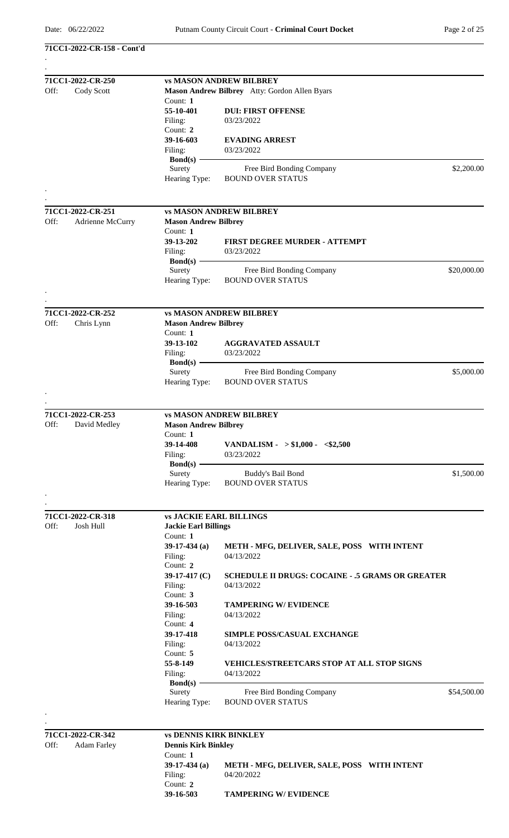**71CC1-2022-CR-158 - Cont'd**

| 71CC1-2022-CR-250 |                                       | <b>vs MASON ANDREW BILBREY</b>                |                                                         |             |  |  |
|-------------------|---------------------------------------|-----------------------------------------------|---------------------------------------------------------|-------------|--|--|
| Off:              | Cody Scott                            | Mason Andrew Bilbrey Atty: Gordon Allen Byars |                                                         |             |  |  |
|                   |                                       | Count: 1                                      |                                                         |             |  |  |
|                   |                                       | 55-10-401                                     | <b>DUI: FIRST OFFENSE</b>                               |             |  |  |
|                   |                                       | Filing:                                       | 03/23/2022                                              |             |  |  |
|                   |                                       | Count: 2                                      |                                                         |             |  |  |
|                   |                                       | 39-16-603                                     | <b>EVADING ARREST</b>                                   |             |  |  |
|                   |                                       | Filing:                                       | 03/23/2022                                              |             |  |  |
|                   |                                       | <b>Bond</b> (s) -                             |                                                         |             |  |  |
|                   |                                       | Surety                                        | Free Bird Bonding Company                               | \$2,200.00  |  |  |
|                   |                                       | Hearing Type:                                 | <b>BOUND OVER STATUS</b>                                |             |  |  |
|                   |                                       |                                               |                                                         |             |  |  |
|                   |                                       |                                               |                                                         |             |  |  |
| Off:              | 71CC1-2022-CR-251<br>Adrienne McCurry | <b>Mason Andrew Bilbrey</b>                   | <b>vs MASON ANDREW BILBREY</b>                          |             |  |  |
|                   |                                       | Count: 1                                      |                                                         |             |  |  |
|                   |                                       | 39-13-202                                     | <b>FIRST DEGREE MURDER - ATTEMPT</b>                    |             |  |  |
|                   |                                       | Filing:                                       | 03/23/2022                                              |             |  |  |
|                   |                                       | $Bond(s)$ –                                   |                                                         |             |  |  |
|                   |                                       | Surety                                        | Free Bird Bonding Company                               | \$20,000.00 |  |  |
|                   |                                       | Hearing Type:                                 | <b>BOUND OVER STATUS</b>                                |             |  |  |
|                   |                                       |                                               |                                                         |             |  |  |
|                   |                                       |                                               |                                                         |             |  |  |
|                   | 71CC1-2022-CR-252                     |                                               | <b>vs MASON ANDREW BILBREY</b>                          |             |  |  |
| Off:              | Chris Lynn                            | <b>Mason Andrew Bilbrey</b>                   |                                                         |             |  |  |
|                   |                                       | Count: 1                                      |                                                         |             |  |  |
|                   |                                       | 39-13-102                                     | <b>AGGRAVATED ASSAULT</b>                               |             |  |  |
|                   |                                       | Filing:                                       | 03/23/2022                                              |             |  |  |
|                   |                                       | $Bond(s) -$                                   |                                                         |             |  |  |
|                   |                                       | Surety                                        | Free Bird Bonding Company                               | \$5,000.00  |  |  |
|                   |                                       | Hearing Type:                                 | <b>BOUND OVER STATUS</b>                                |             |  |  |
|                   |                                       |                                               |                                                         |             |  |  |
|                   |                                       |                                               |                                                         |             |  |  |
|                   | 71CC1-2022-CR-253                     | <b>vs MASON ANDREW BILBREY</b>                |                                                         |             |  |  |
| Off:              | David Medley                          | <b>Mason Andrew Bilbrey</b>                   |                                                         |             |  |  |
|                   |                                       | Count: 1                                      |                                                         |             |  |  |
|                   |                                       | 39-14-408                                     | VANDALISM - $> $1,000 - $2,500$                         |             |  |  |
|                   |                                       | Filing:                                       | 03/23/2022                                              |             |  |  |
|                   |                                       | $Bond(s)$ —                                   |                                                         |             |  |  |
|                   |                                       | Surety                                        | Buddy's Bail Bond                                       | \$1,500.00  |  |  |
|                   |                                       | Hearing Type:                                 | <b>BOUND OVER STATUS</b>                                |             |  |  |
|                   |                                       |                                               |                                                         |             |  |  |
|                   | 71CC1-2022-CR-318                     | <b>vs JACKIE EARL BILLINGS</b>                |                                                         |             |  |  |
| Off:              | Josh Hull                             | <b>Jackie Earl Billings</b>                   |                                                         |             |  |  |
|                   |                                       | Count: 1                                      |                                                         |             |  |  |
|                   |                                       | 39-17-434 $(a)$                               | METH - MFG, DELIVER, SALE, POSS WITH INTENT             |             |  |  |
|                   |                                       | Filing:                                       | 04/13/2022                                              |             |  |  |
|                   |                                       | Count: 2                                      |                                                         |             |  |  |
|                   |                                       | 39-17-417 $(C)$                               | <b>SCHEDULE II DRUGS: COCAINE - .5 GRAMS OR GREATER</b> |             |  |  |
|                   |                                       | Filing:                                       | 04/13/2022                                              |             |  |  |
|                   |                                       | Count: 3                                      |                                                         |             |  |  |
|                   |                                       | 39-16-503                                     | <b>TAMPERING W/ EVIDENCE</b>                            |             |  |  |
|                   |                                       | Filing:                                       | 04/13/2022                                              |             |  |  |
|                   |                                       | Count: $4$                                    |                                                         |             |  |  |
|                   |                                       | 39-17-418                                     | <b>SIMPLE POSS/CASUAL EXCHANGE</b>                      |             |  |  |
|                   |                                       | Filing:                                       | 04/13/2022                                              |             |  |  |
|                   |                                       | Count: 5                                      |                                                         |             |  |  |
|                   |                                       | 55-8-149                                      | <b>VEHICLES/STREETCARS STOP AT ALL STOP SIGNS</b>       |             |  |  |
|                   |                                       | Filing:                                       | 04/13/2022                                              |             |  |  |
|                   |                                       | $Bond(s)$ —                                   |                                                         |             |  |  |
|                   |                                       | Surety<br>Hearing Type:                       | Free Bird Bonding Company<br><b>BOUND OVER STATUS</b>   | \$54,500.00 |  |  |
|                   |                                       |                                               |                                                         |             |  |  |
|                   |                                       |                                               |                                                         |             |  |  |
|                   | 71CC1-2022-CR-342                     | <b>vs DENNIS KIRK BINKLEY</b>                 |                                                         |             |  |  |
| Off:              | <b>Adam Farley</b>                    | <b>Dennis Kirk Binkley</b>                    |                                                         |             |  |  |
|                   |                                       | Count: 1                                      |                                                         |             |  |  |
|                   |                                       | $39-17-434$ (a)                               | METH - MFG, DELIVER, SALE, POSS WITH INTENT             |             |  |  |
|                   |                                       | Filing:                                       | 04/20/2022                                              |             |  |  |
|                   |                                       | Count: 2                                      |                                                         |             |  |  |
|                   |                                       | 39-16-503                                     | <b>TAMPERING W/ EVIDENCE</b>                            |             |  |  |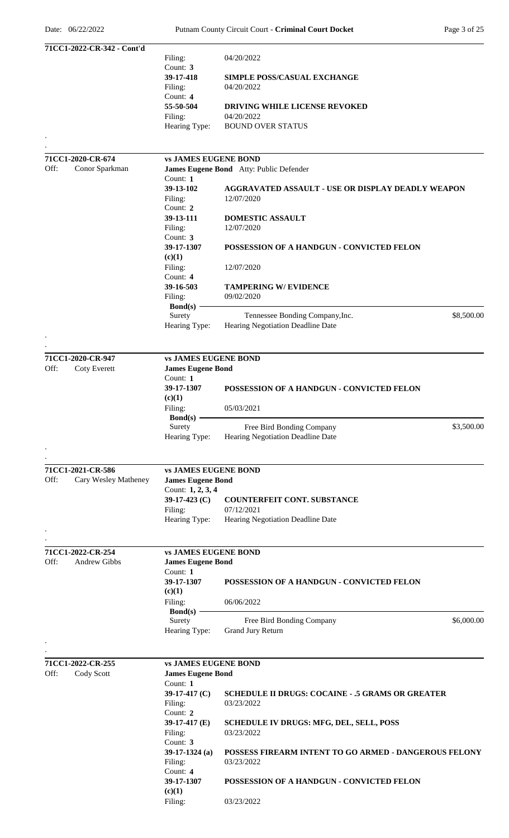|      | 71CC1-2022-CR-342 - Cont'd | Filing:                     | 04/20/2022                                                            |            |
|------|----------------------------|-----------------------------|-----------------------------------------------------------------------|------------|
|      |                            | Count: 3                    |                                                                       |            |
|      |                            | 39-17-418                   | <b>SIMPLE POSS/CASUAL EXCHANGE</b>                                    |            |
|      |                            | Filing:                     | 04/20/2022                                                            |            |
|      |                            | Count: 4<br>55-50-504       | <b>DRIVING WHILE LICENSE REVOKED</b>                                  |            |
|      |                            | Filing:                     | 04/20/2022                                                            |            |
|      |                            | Hearing Type:               | <b>BOUND OVER STATUS</b>                                              |            |
|      |                            |                             |                                                                       |            |
|      |                            |                             |                                                                       |            |
|      | 71CC1-2020-CR-674          | <b>vs JAMES EUGENE BOND</b> |                                                                       |            |
| Off: | Conor Sparkman             | Count: 1                    | James Eugene Bond Atty: Public Defender                               |            |
|      |                            | 39-13-102                   | AGGRAVATED ASSAULT - USE OR DISPLAY DEADLY WEAPON                     |            |
|      |                            | Filing:                     | 12/07/2020                                                            |            |
|      |                            | Count: 2                    |                                                                       |            |
|      |                            | 39-13-111                   | <b>DOMESTIC ASSAULT</b>                                               |            |
|      |                            | Filing:<br>Count: 3         | 12/07/2020                                                            |            |
|      |                            | 39-17-1307                  | POSSESSION OF A HANDGUN - CONVICTED FELON                             |            |
|      |                            | (c)(1)                      |                                                                       |            |
|      |                            | Filing:                     | 12/07/2020                                                            |            |
|      |                            | Count: 4                    |                                                                       |            |
|      |                            | 39-16-503                   | <b>TAMPERING W/ EVIDENCE</b>                                          |            |
|      |                            | Filing:                     | 09/02/2020                                                            |            |
|      |                            | Bond(s) $-$<br>Surety       | Tennessee Bonding Company, Inc.                                       | \$8,500.00 |
|      |                            | Hearing Type:               | Hearing Negotiation Deadline Date                                     |            |
|      |                            |                             |                                                                       |            |
|      |                            |                             |                                                                       |            |
|      | 71CC1-2020-CR-947          | <b>vs JAMES EUGENE BOND</b> |                                                                       |            |
| Off: | <b>Coty Everett</b>        | <b>James Eugene Bond</b>    |                                                                       |            |
|      |                            | Count: 1<br>39-17-1307      |                                                                       |            |
|      |                            | (c)(1)                      | POSSESSION OF A HANDGUN - CONVICTED FELON                             |            |
|      |                            | Filing:                     | 05/03/2021                                                            |            |
|      |                            | $Bond(s)$ —                 |                                                                       |            |
|      |                            | Surety                      | Free Bird Bonding Company                                             | \$3,500.00 |
|      |                            | Hearing Type:               | Hearing Negotiation Deadline Date                                     |            |
|      |                            |                             |                                                                       |            |
|      | 71CC1-2021-CR-586          | <b>vs JAMES EUGENE BOND</b> |                                                                       |            |
| Off: | Cary Wesley Matheney       | <b>James Eugene Bond</b>    |                                                                       |            |
|      |                            | Count: 1, 2, 3, 4           |                                                                       |            |
|      |                            | 39-17-423 $(C)$             | <b>COUNTERFEIT CONT. SUBSTANCE</b>                                    |            |
|      |                            | Filing:                     | 07/12/2021                                                            |            |
|      |                            | Hearing Type:               | Hearing Negotiation Deadline Date                                     |            |
|      |                            |                             |                                                                       |            |
|      | 71CC1-2022-CR-254          | <b>vs JAMES EUGENE BOND</b> |                                                                       |            |
| Off: | Andrew Gibbs               | <b>James Eugene Bond</b>    |                                                                       |            |
|      |                            | Count: 1                    |                                                                       |            |
|      |                            | 39-17-1307                  | POSSESSION OF A HANDGUN - CONVICTED FELON                             |            |
|      |                            | (c)(1)                      |                                                                       |            |
|      |                            | Filing:                     | 06/06/2022                                                            |            |
|      |                            | $Bond(s)$ –<br>Surety       | Free Bird Bonding Company                                             | \$6,000.00 |
|      |                            | Hearing Type:               | <b>Grand Jury Return</b>                                              |            |
|      |                            |                             |                                                                       |            |
|      |                            |                             |                                                                       |            |
|      | 71CC1-2022-CR-255          | <b>vs JAMES EUGENE BOND</b> |                                                                       |            |
| Off: | Cody Scott                 | <b>James Eugene Bond</b>    |                                                                       |            |
|      |                            | Count: 1                    |                                                                       |            |
|      |                            | 39-17-417 $(C)$<br>Filing:  | <b>SCHEDULE II DRUGS: COCAINE - .5 GRAMS OR GREATER</b><br>03/23/2022 |            |
|      |                            | Count: 2                    |                                                                       |            |
|      |                            | 39-17-417 $(E)$             | SCHEDULE IV DRUGS: MFG, DEL, SELL, POSS                               |            |
|      |                            | Filing:                     | 03/23/2022                                                            |            |
|      |                            | Count: 3                    |                                                                       |            |
|      |                            | $39-17-1324$ (a)            | POSSESS FIREARM INTENT TO GO ARMED - DANGEROUS FELONY                 |            |
|      |                            | Filing:<br>Count: 4         | 03/23/2022                                                            |            |
|      |                            | 39-17-1307                  | POSSESSION OF A HANDGUN - CONVICTED FELON                             |            |
|      |                            | (c)(1)                      |                                                                       |            |
|      |                            | Filing:                     | 03/23/2022                                                            |            |
|      |                            |                             |                                                                       |            |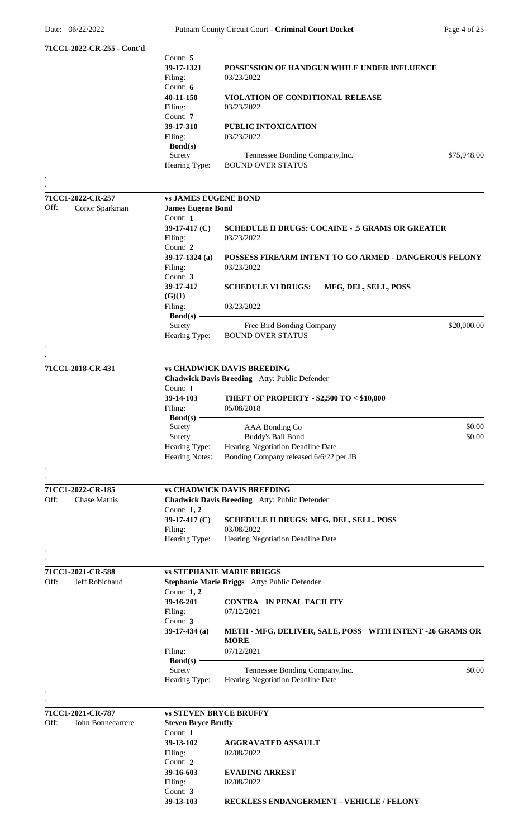| 71CC1-2022-CR-255 - Cont'd |                               |                                                          |
|----------------------------|-------------------------------|----------------------------------------------------------|
|                            | Count: 5                      |                                                          |
|                            | 39-17-1321                    | POSSESSION OF HANDGUN WHILE UNDER INFLUENCE              |
|                            | Filing:                       | 03/23/2022                                               |
|                            | Count: $6$                    |                                                          |
|                            | 40-11-150                     | VIOLATION OF CONDITIONAL RELEASE                         |
|                            | Filing:<br>Count: 7           | 03/23/2022                                               |
|                            | 39-17-310                     | PUBLIC INTOXICATION                                      |
|                            | Filing:                       | 03/23/2022                                               |
|                            | Bond(s)                       |                                                          |
|                            | Surety                        | Tennessee Bonding Company, Inc.<br>\$75,948.00           |
|                            | Hearing Type:                 | <b>BOUND OVER STATUS</b>                                 |
|                            |                               |                                                          |
|                            |                               |                                                          |
| 71CC1-2022-CR-257          | <b>vs JAMES EUGENE BOND</b>   |                                                          |
| Off:<br>Conor Sparkman     | <b>James Eugene Bond</b>      |                                                          |
|                            | Count: 1                      |                                                          |
|                            | 39-17-417 (C)                 | <b>SCHEDULE II DRUGS: COCAINE - .5 GRAMS OR GREATER</b>  |
|                            | Filing:<br>Count: 2           | 03/23/2022                                               |
|                            | $39-17-1324$ (a)              | POSSESS FIREARM INTENT TO GO ARMED - DANGEROUS FELONY    |
|                            | Filing:                       | 03/23/2022                                               |
|                            | Count: 3                      |                                                          |
|                            | 39-17-417                     | <b>SCHEDULE VI DRUGS:</b><br>MFG, DEL, SELL, POSS        |
|                            | (G)(1)                        |                                                          |
|                            | Filing:                       | 03/23/2022                                               |
|                            | $Bond(s)$ –                   |                                                          |
|                            | Surety                        | \$20,000.00<br>Free Bird Bonding Company                 |
|                            | Hearing Type:                 | <b>BOUND OVER STATUS</b>                                 |
|                            |                               |                                                          |
|                            |                               |                                                          |
| 71CC1-2018-CR-431          |                               | <b>vs CHADWICK DAVIS BREEDING</b>                        |
|                            |                               | Chadwick Davis Breeding Atty: Public Defender            |
|                            | Count: 1                      |                                                          |
|                            | 39-14-103                     | THEFT OF PROPERTY - \$2,500 TO < \$10,000                |
|                            | Filing:                       | 05/08/2018                                               |
|                            | $Bond(s)$ –                   |                                                          |
|                            | Surety                        | AAA Bonding Co<br>\$0.00                                 |
|                            | Surety                        | Buddy's Bail Bond<br>\$0.00                              |
|                            | Hearing Type:                 | Hearing Negotiation Deadline Date                        |
|                            | <b>Hearing Notes:</b>         | Bonding Company released 6/6/22 per JB                   |
|                            |                               |                                                          |
|                            |                               |                                                          |
| 71CC1-2022-CR-185          |                               | <b>vs CHADWICK DAVIS BREEDING</b>                        |
| Off:<br>Chase Mathis       |                               | Chadwick Davis Breeding Atty: Public Defender            |
|                            | Count: 1, 2                   |                                                          |
|                            | 39-17-417 $(C)$               | <b>SCHEDULE II DRUGS: MFG, DEL, SELL, POSS</b>           |
|                            | Filing:<br>Hearing Type:      | 03/08/2022<br>Hearing Negotiation Deadline Date          |
|                            |                               |                                                          |
|                            |                               |                                                          |
| 71CC1-2021-CR-588          |                               | <b>vs STEPHANIE MARIE BRIGGS</b>                         |
| Off:<br>Jeff Robichaud     |                               | Stephanie Marie Briggs Atty: Public Defender             |
|                            | Count: 1, 2                   |                                                          |
|                            | 39-16-201                     | <b>CONTRA IN PENAL FACILITY</b>                          |
|                            | Filing:                       | 07/12/2021                                               |
|                            | Count: 3                      |                                                          |
|                            | $39-17-434$ (a)               | METH - MFG, DELIVER, SALE, POSS WITH INTENT -26 GRAMS OR |
|                            |                               | <b>MORE</b>                                              |
|                            | Filing:                       | 07/12/2021                                               |
|                            | $Bond(s)$ –                   |                                                          |
|                            | Surety                        | \$0.00<br>Tennessee Bonding Company, Inc.                |
|                            | Hearing Type:                 | Hearing Negotiation Deadline Date                        |
|                            |                               |                                                          |
|                            |                               |                                                          |
| 71CC1-2021-CR-787          | <b>vs STEVEN BRYCE BRUFFY</b> |                                                          |
| Off:<br>John Bonnecarrere  | <b>Steven Bryce Bruffy</b>    |                                                          |
|                            | Count: 1<br>39-13-102         |                                                          |
|                            | Filing:                       | <b>AGGRAVATED ASSAULT</b><br>02/08/2022                  |
|                            | Count: 2                      |                                                          |
|                            | 39-16-603                     | <b>EVADING ARREST</b>                                    |
|                            | Filing:                       | 02/08/2022                                               |
|                            | Count: 3                      |                                                          |
|                            | 39-13-103                     | RECKLESS ENDANGERMENT - VEHICLE / FELONY                 |
|                            |                               |                                                          |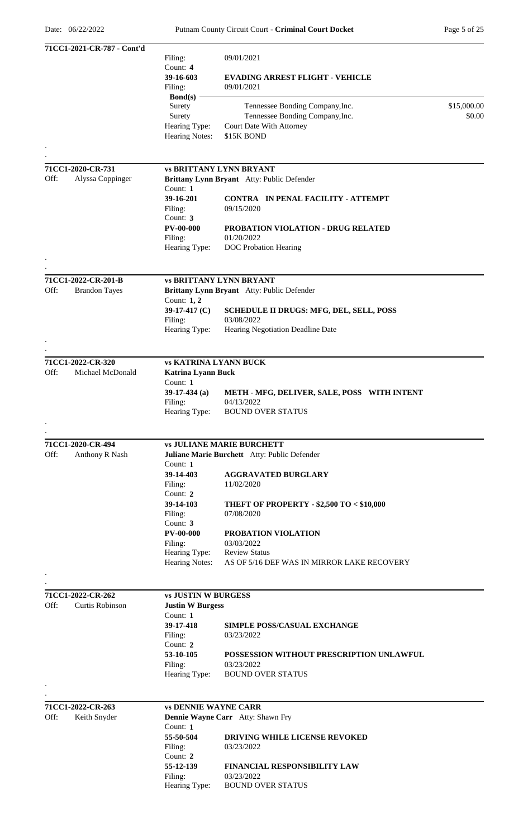|                           | 71CC1-2021-CR-787 - Cont'd |                              |                                                                              |             |
|---------------------------|----------------------------|------------------------------|------------------------------------------------------------------------------|-------------|
|                           |                            | Filing:                      | 09/01/2021                                                                   |             |
|                           |                            | Count: 4                     |                                                                              |             |
|                           |                            | 39-16-603                    | <b>EVADING ARREST FLIGHT - VEHICLE</b><br>09/01/2021                         |             |
|                           |                            | Filing:<br>Bond(s) $-$       |                                                                              |             |
|                           |                            | Surety                       | Tennessee Bonding Company, Inc.                                              | \$15,000.00 |
|                           |                            | Surety                       | Tennessee Bonding Company, Inc.                                              | \$0.00      |
|                           |                            | Hearing Type:                | Court Date With Attorney                                                     |             |
|                           |                            | <b>Hearing Notes:</b>        | \$15K BOND                                                                   |             |
|                           |                            |                              |                                                                              |             |
|                           |                            |                              |                                                                              |             |
| 71CC1-2020-CR-731<br>Off: | Alyssa Coppinger           |                              | <b>vs BRITTANY LYNN BRYANT</b><br>Brittany Lynn Bryant Atty: Public Defender |             |
|                           |                            | Count: 1                     |                                                                              |             |
|                           |                            | 39-16-201                    | CONTRA IN PENAL FACILITY - ATTEMPT                                           |             |
|                           |                            | Filing:                      | 09/15/2020                                                                   |             |
|                           |                            | Count: 3                     |                                                                              |             |
|                           |                            | <b>PV-00-000</b>             | <b>PROBATION VIOLATION - DRUG RELATED</b>                                    |             |
|                           |                            | Filing:                      | 01/20/2022                                                                   |             |
|                           |                            | Hearing Type:                | <b>DOC</b> Probation Hearing                                                 |             |
|                           |                            |                              |                                                                              |             |
|                           | 71CC1-2022-CR-201-B        |                              | <b>vs BRITTANY LYNN BRYANT</b>                                               |             |
| Off:                      | <b>Brandon Tayes</b>       |                              | Brittany Lynn Bryant Atty: Public Defender                                   |             |
|                           |                            | Count: $1, 2$                |                                                                              |             |
|                           |                            | 39-17-417 $(C)$              | <b>SCHEDULE II DRUGS: MFG, DEL, SELL, POSS</b>                               |             |
|                           |                            | Filing:                      | 03/08/2022                                                                   |             |
|                           |                            | Hearing Type:                | Hearing Negotiation Deadline Date                                            |             |
|                           |                            |                              |                                                                              |             |
| 71CC1-2022-CR-320         |                            | <b>vs KATRINA LYANN BUCK</b> |                                                                              |             |
| Off:                      | Michael McDonald           | <b>Katrina Lyann Buck</b>    |                                                                              |             |
|                           |                            | Count: $1$                   |                                                                              |             |
|                           |                            | $39-17-434$ (a)              | METH - MFG, DELIVER, SALE, POSS WITH INTENT                                  |             |
|                           |                            | Filing:                      | 04/13/2022                                                                   |             |
|                           |                            | Hearing Type:                | <b>BOUND OVER STATUS</b>                                                     |             |
|                           |                            |                              |                                                                              |             |
| 71CC1-2020-CR-494         |                            |                              | <b>vs JULIANE MARIE BURCHETT</b>                                             |             |
| Off:                      | Anthony R Nash             |                              | Juliane Marie Burchett Atty: Public Defender                                 |             |
|                           |                            | Count: 1                     |                                                                              |             |
|                           |                            | 39-14-403                    | <b>AGGRAVATED BURGLARY</b>                                                   |             |
|                           |                            | Filing:                      | 11/02/2020                                                                   |             |
|                           |                            | Count: 2                     |                                                                              |             |
|                           |                            | 39-14-103                    | <b>THEFT OF PROPERTY - \$2,500 TO &lt; \$10,000</b>                          |             |
|                           |                            | Filing:                      | 07/08/2020                                                                   |             |
|                           |                            | Count: $3$                   |                                                                              |             |
|                           |                            | <b>PV-00-000</b>             | PROBATION VIOLATION<br>03/03/2022                                            |             |
|                           |                            | Filing:<br>Hearing Type:     | <b>Review Status</b>                                                         |             |
|                           |                            | Hearing Notes:               | AS OF 5/16 DEF WAS IN MIRROR LAKE RECOVERY                                   |             |
|                           |                            |                              |                                                                              |             |
|                           |                            |                              |                                                                              |             |
| 71CC1-2022-CR-262         |                            | <b>vs JUSTIN W BURGESS</b>   |                                                                              |             |
| Off:                      | <b>Curtis Robinson</b>     | <b>Justin W Burgess</b>      |                                                                              |             |
|                           |                            | Count: $1$                   |                                                                              |             |
|                           |                            | 39-17-418<br>Filing:         | <b>SIMPLE POSS/CASUAL EXCHANGE</b><br>03/23/2022                             |             |
|                           |                            | Count: $2$                   |                                                                              |             |
|                           |                            | 53-10-105                    | POSSESSION WITHOUT PRESCRIPTION UNLAWFUL                                     |             |
|                           |                            | Filing:                      | 03/23/2022                                                                   |             |
|                           |                            | Hearing Type:                | <b>BOUND OVER STATUS</b>                                                     |             |
|                           |                            |                              |                                                                              |             |
| 71CC1-2022-CR-263         |                            | <b>vs DENNIE WAYNE CARR</b>  |                                                                              |             |
| Off:                      | Keith Snyder               |                              | Dennie Wayne Carr Atty: Shawn Fry                                            |             |
|                           |                            | Count: $1$                   |                                                                              |             |
|                           |                            | 55-50-504                    | DRIVING WHILE LICENSE REVOKED                                                |             |
|                           |                            | Filing:                      | 03/23/2022                                                                   |             |
|                           |                            | Count: 2                     |                                                                              |             |
|                           |                            | 55-12-139                    | <b>FINANCIAL RESPONSIBILITY LAW</b>                                          |             |
|                           |                            | Filing:                      | 03/23/2022                                                                   |             |
|                           |                            | Hearing Type:                | <b>BOUND OVER STATUS</b>                                                     |             |
|                           |                            |                              |                                                                              |             |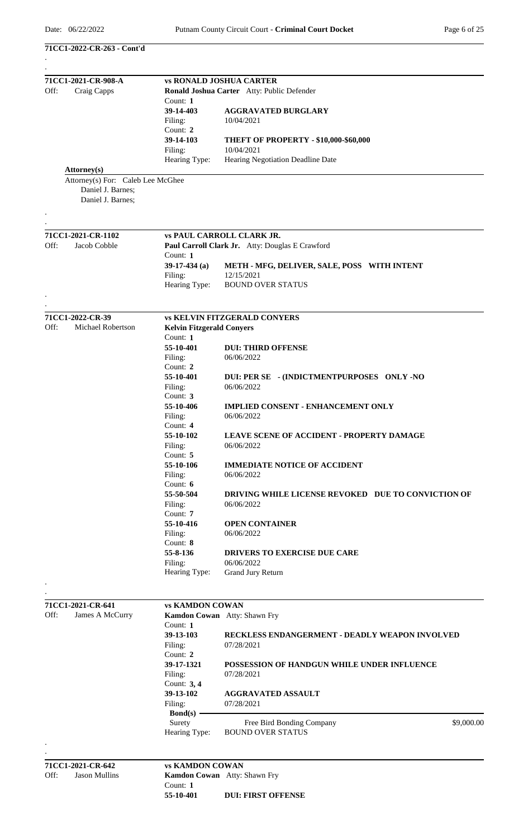**71CC1-2022-CR-263 - Cont'd**

| 71CC1-2021-CR-908-A                                  | <b>vs RONALD JOSHUA CARTER</b>               |                                                    |
|------------------------------------------------------|----------------------------------------------|----------------------------------------------------|
| Off:<br>Craig Capps                                  |                                              | Ronald Joshua Carter Atty: Public Defender         |
|                                                      | Count: $1$                                   |                                                    |
|                                                      | 39-14-403                                    | <b>AGGRAVATED BURGLARY</b>                         |
|                                                      | Filing:                                      | 10/04/2021                                         |
|                                                      | Count: 2                                     |                                                    |
|                                                      | 39-14-103                                    | <b>THEFT OF PROPERTY - \$10,000-\$60,000</b>       |
|                                                      | Filing:                                      | 10/04/2021                                         |
|                                                      | Hearing Type:                                | Hearing Negotiation Deadline Date                  |
| Attorney(s)<br>Attorney(s) For: Caleb Lee McGhee     |                                              |                                                    |
| Daniel J. Barnes;<br>Daniel J. Barnes;               |                                              |                                                    |
|                                                      |                                              |                                                    |
| 71CC1-2021-CR-1102                                   |                                              | <b>vs PAUL CARROLL CLARK JR.</b>                   |
| Off:<br>Jacob Cobble                                 |                                              | Paul Carroll Clark Jr. Atty: Douglas E Crawford    |
|                                                      | Count: 1                                     |                                                    |
|                                                      | $39-17-434$ (a)                              | METH - MFG, DELIVER, SALE, POSS WITH INTENT        |
|                                                      | Filing:                                      | 12/15/2021                                         |
|                                                      | Hearing Type:                                | <b>BOUND OVER STATUS</b>                           |
|                                                      |                                              |                                                    |
|                                                      |                                              |                                                    |
| 71CC1-2022-CR-39<br>Off:<br><b>Michael Robertson</b> |                                              | <b>vs KELVIN FITZGERALD CONYERS</b>                |
|                                                      | <b>Kelvin Fitzgerald Conyers</b><br>Count: 1 |                                                    |
|                                                      | 55-10-401                                    | <b>DUI: THIRD OFFENSE</b>                          |
|                                                      | Filing:                                      | 06/06/2022                                         |
|                                                      | Count: 2                                     |                                                    |
|                                                      | 55-10-401                                    | DUI: PER SE - (INDICTMENTPURPOSES ONLY -NO         |
|                                                      | Filing:                                      | 06/06/2022                                         |
|                                                      | Count: 3                                     |                                                    |
|                                                      | 55-10-406                                    | <b>IMPLIED CONSENT - ENHANCEMENT ONLY</b>          |
|                                                      | Filing:                                      | 06/06/2022                                         |
|                                                      | Count: 4                                     |                                                    |
|                                                      | 55-10-102                                    | LEAVE SCENE OF ACCIDENT - PROPERTY DAMAGE          |
|                                                      | Filing:                                      | 06/06/2022                                         |
|                                                      | Count: 5                                     |                                                    |
|                                                      | 55-10-106                                    | <b>IMMEDIATE NOTICE OF ACCIDENT</b>                |
|                                                      | Filing:                                      | 06/06/2022                                         |
|                                                      | Count: 6                                     |                                                    |
|                                                      | 55-50-504                                    | DRIVING WHILE LICENSE REVOKED DUE TO CONVICTION OF |
|                                                      | Filing:                                      | 06/06/2022                                         |
|                                                      | Count: 7                                     |                                                    |
|                                                      | 55-10-416                                    | <b>OPEN CONTAINER</b>                              |
|                                                      | Filing:                                      | 06/06/2022                                         |
|                                                      | Count: 8                                     |                                                    |
|                                                      | 55-8-136                                     | <b>DRIVERS TO EXERCISE DUE CARE</b>                |
|                                                      | Filing:                                      | 06/06/2022                                         |
|                                                      | Hearing Type:                                | Grand Jury Return                                  |
|                                                      |                                              |                                                    |
|                                                      | <b>vs KAMDON COWAN</b>                       |                                                    |
| 71CC1-2021-CR-641<br>Off:                            | Kamdon Cowan Atty: Shawn Fry                 |                                                    |
| James A McCurry                                      | Count: $1$                                   |                                                    |
|                                                      | 39-13-103                                    | RECKLESS ENDANGERMENT - DEADLY WEAPON INVOLVED     |
|                                                      | Filing:                                      | 07/28/2021                                         |
|                                                      | Count: 2                                     |                                                    |
|                                                      | 39-17-1321                                   | POSSESSION OF HANDGUN WHILE UNDER INFLUENCE        |
|                                                      | Filing:                                      | 07/28/2021                                         |
|                                                      | Count: $3, 4$                                |                                                    |
|                                                      | 39-13-102                                    | <b>AGGRAVATED ASSAULT</b>                          |
|                                                      | Filing:                                      | 07/28/2021                                         |
|                                                      | $Bond(s)$ —                                  |                                                    |
|                                                      | Surety                                       | \$9,000.00<br>Free Bird Bonding Company            |
|                                                      | Hearing Type:                                | <b>BOUND OVER STATUS</b>                           |
|                                                      |                                              |                                                    |
|                                                      |                                              |                                                    |
| 71CC1-2021-CR-642                                    | <b>vs KAMDON COWAN</b>                       |                                                    |
| Off:<br><b>Jason Mullins</b>                         | Kamdon Cowan Atty: Shawn Fry<br>Count: 1     |                                                    |
|                                                      | 55-10-401                                    | <b>DUI: FIRST OFFENSE</b>                          |
|                                                      |                                              |                                                    |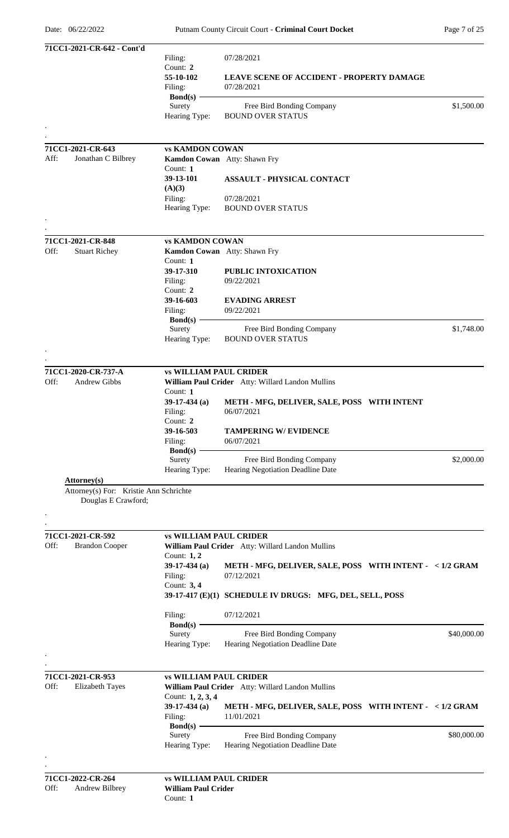|      | 71CC1-2021-CR-642 - Cont'd             |                               |                                                                        |             |
|------|----------------------------------------|-------------------------------|------------------------------------------------------------------------|-------------|
|      |                                        | Filing:                       | 07/28/2021                                                             |             |
|      |                                        | Count: 2                      |                                                                        |             |
|      |                                        | 55-10-102                     | <b>LEAVE SCENE OF ACCIDENT - PROPERTY DAMAGE</b>                       |             |
|      |                                        | Filing:                       | 07/28/2021                                                             |             |
|      |                                        | Bond $(s)$ -<br>Surety        | Free Bird Bonding Company                                              | \$1,500.00  |
|      |                                        | Hearing Type:                 | <b>BOUND OVER STATUS</b>                                               |             |
|      |                                        |                               |                                                                        |             |
|      |                                        |                               |                                                                        |             |
|      | 71CC1-2021-CR-643                      | <b>vs KAMDON COWAN</b>        |                                                                        |             |
| Aff: | Jonathan C Bilbrey                     |                               | Kamdon Cowan Atty: Shawn Fry                                           |             |
|      |                                        | Count: 1                      |                                                                        |             |
|      |                                        | 39-13-101                     | <b>ASSAULT - PHYSICAL CONTACT</b>                                      |             |
|      |                                        | (A)(3)                        |                                                                        |             |
|      |                                        | Filing:                       | 07/28/2021                                                             |             |
|      |                                        | Hearing Type:                 | <b>BOUND OVER STATUS</b>                                               |             |
|      |                                        |                               |                                                                        |             |
|      |                                        |                               |                                                                        |             |
|      | 71CC1-2021-CR-848                      | <b>vs KAMDON COWAN</b>        |                                                                        |             |
| Off: | <b>Stuart Richey</b>                   |                               | Kamdon Cowan Atty: Shawn Fry                                           |             |
|      |                                        | Count: $1$<br>39-17-310       | PUBLIC INTOXICATION                                                    |             |
|      |                                        | Filing:                       | 09/22/2021                                                             |             |
|      |                                        | Count: 2                      |                                                                        |             |
|      |                                        | 39-16-603                     | <b>EVADING ARREST</b>                                                  |             |
|      |                                        | Filing:                       | 09/22/2021                                                             |             |
|      |                                        | Bond(s) $-$                   |                                                                        |             |
|      |                                        | Surety                        | Free Bird Bonding Company                                              | \$1,748.00  |
|      |                                        | Hearing Type:                 | <b>BOUND OVER STATUS</b>                                               |             |
|      |                                        |                               |                                                                        |             |
|      |                                        |                               |                                                                        |             |
|      | 71CC1-2020-CR-737-A                    | <b>vs WILLIAM PAUL CRIDER</b> |                                                                        |             |
| Off: | <b>Andrew Gibbs</b>                    |                               | William Paul Crider Atty: Willard Landon Mullins                       |             |
|      |                                        | Count: 1                      |                                                                        |             |
|      |                                        | $39-17-434$ (a)<br>Filing:    | METH - MFG, DELIVER, SALE, POSS WITH INTENT<br>06/07/2021              |             |
|      |                                        | Count: 2                      |                                                                        |             |
|      |                                        | 39-16-503                     | <b>TAMPERING W/ EVIDENCE</b>                                           |             |
|      |                                        | Filing:                       | 06/07/2021                                                             |             |
|      |                                        | $Bond(s)$ –                   |                                                                        |             |
|      |                                        | Surety                        | Free Bird Bonding Company                                              | \$2,000.00  |
|      |                                        | Hearing Type:                 | Hearing Negotiation Deadline Date                                      |             |
|      | Attorney(s)                            |                               |                                                                        |             |
|      | Attorney(s) For: Kristie Ann Schrichte |                               |                                                                        |             |
|      | Douglas E Crawford;                    |                               |                                                                        |             |
|      |                                        |                               |                                                                        |             |
|      |                                        |                               |                                                                        |             |
|      | 71CC1-2021-CR-592                      | <b>vs WILLIAM PAUL CRIDER</b> |                                                                        |             |
| Off: | <b>Brandon Cooper</b>                  |                               | William Paul Crider Atty: Willard Landon Mullins                       |             |
|      |                                        | Count: $1, 2$                 |                                                                        |             |
|      |                                        | 39-17-434 $(a)$               | METH - MFG, DELIVER, SALE, POSS WITH INTENT - < 1/2 GRAM               |             |
|      |                                        | Filing:<br>Count: 3, 4        | 07/12/2021                                                             |             |
|      |                                        |                               | 39-17-417 (E)(1) SCHEDULE IV DRUGS: MFG, DEL, SELL, POSS               |             |
|      |                                        |                               |                                                                        |             |
|      |                                        | Filing:                       | 07/12/2021                                                             |             |
|      |                                        | $\text{Bond}(s)$ –            |                                                                        |             |
|      |                                        | Surety                        | Free Bird Bonding Company                                              | \$40,000.00 |
|      |                                        | Hearing Type:                 | Hearing Negotiation Deadline Date                                      |             |
|      |                                        |                               |                                                                        |             |
|      |                                        |                               |                                                                        |             |
|      | 71CC1-2021-CR-953                      | <b>vs WILLIAM PAUL CRIDER</b> |                                                                        |             |
| Off: | <b>Elizabeth Tayes</b>                 |                               | William Paul Crider Atty: Willard Landon Mullins                       |             |
|      |                                        | Count: 1, 2, 3, 4             |                                                                        |             |
|      |                                        | $39-17-434$ (a)               | METH - MFG, DELIVER, SALE, POSS WITH INTENT - < 1/2 GRAM<br>11/01/2021 |             |
|      |                                        | Filing:<br>$Bond(s) -$        |                                                                        |             |
|      |                                        | Surety                        | Free Bird Bonding Company                                              | \$80,000.00 |
|      |                                        | Hearing Type:                 | Hearing Negotiation Deadline Date                                      |             |
|      |                                        |                               |                                                                        |             |
|      |                                        |                               |                                                                        |             |
|      | 71CC1-2022-CR-264                      | <b>vs WILLIAM PAUL CRIDER</b> |                                                                        |             |
| Off: | Andrew Bilbrey                         | <b>William Paul Crider</b>    |                                                                        |             |
|      |                                        | Count: 1                      |                                                                        |             |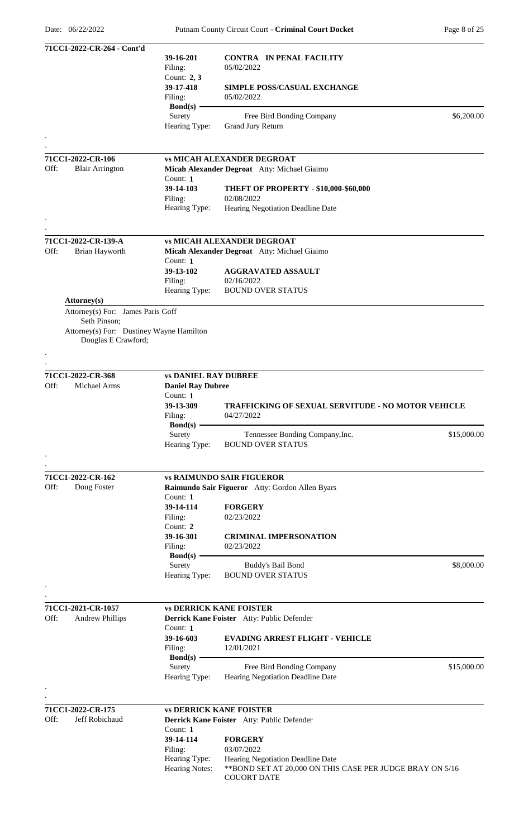|      | 71CC1-2022-CR-264 - Cont'd                                      |                                        |                                                                                                |             |
|------|-----------------------------------------------------------------|----------------------------------------|------------------------------------------------------------------------------------------------|-------------|
|      |                                                                 | 39-16-201                              | <b>CONTRA IN PENAL FACILITY</b>                                                                |             |
|      |                                                                 | Filing:                                | 05/02/2022                                                                                     |             |
|      |                                                                 | Count: $2, 3$                          |                                                                                                |             |
|      |                                                                 | 39-17-418                              | <b>SIMPLE POSS/CASUAL EXCHANGE</b><br>05/02/2022                                               |             |
|      |                                                                 | Filing:<br>$Bond(s)$ –                 |                                                                                                |             |
|      |                                                                 | Surety                                 | Free Bird Bonding Company                                                                      | \$6,200.00  |
|      |                                                                 | Hearing Type:                          | Grand Jury Return                                                                              |             |
|      |                                                                 |                                        |                                                                                                |             |
|      |                                                                 |                                        |                                                                                                |             |
|      | 71CC1-2022-CR-106                                               |                                        | <b>vs MICAH ALEXANDER DEGROAT</b>                                                              |             |
| Off: | <b>Blair Arrington</b>                                          |                                        | Micah Alexander Degroat Atty: Michael Giaimo                                                   |             |
|      |                                                                 | Count: 1                               |                                                                                                |             |
|      |                                                                 | 39-14-103                              | <b>THEFT OF PROPERTY - \$10,000-\$60,000</b>                                                   |             |
|      |                                                                 | Filing:                                | 02/08/2022                                                                                     |             |
|      |                                                                 | Hearing Type:                          | Hearing Negotiation Deadline Date                                                              |             |
|      |                                                                 |                                        |                                                                                                |             |
|      |                                                                 |                                        |                                                                                                |             |
|      | 71CC1-2022-CR-139-A                                             |                                        | <b>vs MICAH ALEXANDER DEGROAT</b>                                                              |             |
| Off: | Brian Hayworth                                                  |                                        | Micah Alexander Degroat Atty: Michael Giaimo                                                   |             |
|      |                                                                 | Count: 1                               |                                                                                                |             |
|      |                                                                 | 39-13-102                              | <b>AGGRAVATED ASSAULT</b>                                                                      |             |
|      |                                                                 | Filing:                                | 02/16/2022                                                                                     |             |
|      |                                                                 | Hearing Type:                          | <b>BOUND OVER STATUS</b>                                                                       |             |
|      | Attorney(s)                                                     |                                        |                                                                                                |             |
|      | Attorney(s) For: James Paris Goff                               |                                        |                                                                                                |             |
|      | Seth Pinson;                                                    |                                        |                                                                                                |             |
|      | Attorney(s) For: Dustiney Wayne Hamilton<br>Douglas E Crawford; |                                        |                                                                                                |             |
|      |                                                                 |                                        |                                                                                                |             |
|      |                                                                 |                                        |                                                                                                |             |
|      |                                                                 |                                        |                                                                                                |             |
|      | 71CC1-2022-CR-368                                               | <b>vs DANIEL RAY DUBREE</b>            |                                                                                                |             |
| Off: | Michael Arms                                                    | <b>Daniel Ray Dubree</b>               |                                                                                                |             |
|      |                                                                 | Count: 1                               |                                                                                                |             |
|      |                                                                 | 39-13-309                              | <b>TRAFFICKING OF SEXUAL SERVITUDE - NO MOTOR VEHICLE</b>                                      |             |
|      |                                                                 | Filing:<br>$Bond(s)$ —                 | 04/27/2022                                                                                     |             |
|      |                                                                 | Surety                                 | Tennessee Bonding Company, Inc.                                                                | \$15,000.00 |
|      |                                                                 | Hearing Type:                          | <b>BOUND OVER STATUS</b>                                                                       |             |
|      |                                                                 |                                        |                                                                                                |             |
|      |                                                                 |                                        |                                                                                                |             |
|      | 71CC1-2022-CR-162                                               |                                        | <b>vs RAIMUNDO SAIR FIGUEROR</b>                                                               |             |
| Off: | Doug Foster                                                     |                                        | Raimundo Sair Figueror Atty: Gordon Allen Byars                                                |             |
|      |                                                                 | Count: 1                               |                                                                                                |             |
|      |                                                                 | 39-14-114                              | <b>FORGERY</b>                                                                                 |             |
|      |                                                                 | Filing:                                | 02/23/2022                                                                                     |             |
|      |                                                                 | Count: 2                               |                                                                                                |             |
|      |                                                                 | 39-16-301                              | <b>CRIMINAL IMPERSONATION</b>                                                                  |             |
|      |                                                                 | Filing:                                | 02/23/2022                                                                                     |             |
|      |                                                                 | $Bond(s)$ –                            |                                                                                                |             |
|      |                                                                 | Surety                                 | Buddy's Bail Bond                                                                              | \$8,000.00  |
|      |                                                                 | Hearing Type:                          | <b>BOUND OVER STATUS</b>                                                                       |             |
|      |                                                                 |                                        |                                                                                                |             |
|      |                                                                 |                                        |                                                                                                |             |
|      | 71CC1-2021-CR-1057                                              |                                        | <b>vs DERRICK KANE FOISTER</b>                                                                 |             |
| Off: | <b>Andrew Phillips</b>                                          |                                        | Derrick Kane Foister Atty: Public Defender                                                     |             |
|      |                                                                 | Count: 1                               |                                                                                                |             |
|      |                                                                 | 39-16-603                              | <b>EVADING ARREST FLIGHT - VEHICLE</b>                                                         |             |
|      |                                                                 | Filing:                                | 12/01/2021                                                                                     |             |
|      |                                                                 | Bond $(s)$ -<br>Surety                 | Free Bird Bonding Company                                                                      | \$15,000.00 |
|      |                                                                 | Hearing Type:                          | Hearing Negotiation Deadline Date                                                              |             |
|      |                                                                 |                                        |                                                                                                |             |
|      |                                                                 |                                        |                                                                                                |             |
|      | 71CC1-2022-CR-175                                               |                                        | <b>vs DERRICK KANE FOISTER</b>                                                                 |             |
| Off: | Jeff Robichaud                                                  |                                        | Derrick Kane Foister Atty: Public Defender                                                     |             |
|      |                                                                 | Count: 1                               |                                                                                                |             |
|      |                                                                 |                                        | <b>FORGERY</b>                                                                                 |             |
|      |                                                                 |                                        |                                                                                                |             |
|      |                                                                 | 39-14-114                              | 03/07/2022                                                                                     |             |
|      |                                                                 | Filing:                                |                                                                                                |             |
|      |                                                                 | Hearing Type:<br><b>Hearing Notes:</b> | Hearing Negotiation Deadline Date<br>** BOND SET AT 20,000 ON THIS CASE PER JUDGE BRAY ON 5/16 |             |
|      |                                                                 |                                        | <b>COUORT DATE</b>                                                                             |             |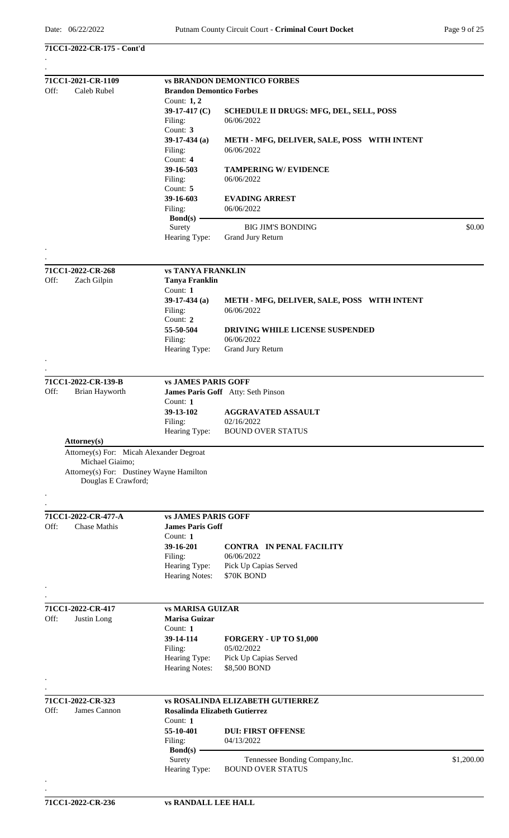| 71CC1-2022-CR-175 - Cont'd |  |
|----------------------------|--|
|----------------------------|--|

|      | 71CC1-2021-CR-1109                                              |                                                       | <b>vs BRANDON DEMONTICO FORBES</b>             |            |  |  |  |
|------|-----------------------------------------------------------------|-------------------------------------------------------|------------------------------------------------|------------|--|--|--|
| Off: | Caleb Rubel                                                     | <b>Brandon Demontico Forbes</b>                       |                                                |            |  |  |  |
|      |                                                                 | Count: 1, 2                                           |                                                |            |  |  |  |
|      |                                                                 | 39-17-417 $(C)$                                       | <b>SCHEDULE II DRUGS: MFG, DEL, SELL, POSS</b> |            |  |  |  |
|      |                                                                 | Filing:                                               | 06/06/2022                                     |            |  |  |  |
|      |                                                                 | Count: 3                                              |                                                |            |  |  |  |
|      |                                                                 | $39-17-434$ (a)                                       | METH - MFG, DELIVER, SALE, POSS WITH INTENT    |            |  |  |  |
|      |                                                                 | Filing:<br>Count: 4                                   | 06/06/2022                                     |            |  |  |  |
|      |                                                                 | 39-16-503                                             |                                                |            |  |  |  |
|      |                                                                 |                                                       | <b>TAMPERING W/ EVIDENCE</b><br>06/06/2022     |            |  |  |  |
|      |                                                                 | Filing:<br>Count: 5                                   |                                                |            |  |  |  |
|      |                                                                 | 39-16-603                                             | <b>EVADING ARREST</b>                          |            |  |  |  |
|      |                                                                 | Filing:                                               | 06/06/2022                                     |            |  |  |  |
|      |                                                                 | $Bond(s)$ –                                           |                                                |            |  |  |  |
|      |                                                                 | Surety                                                | <b>BIG JIM'S BONDING</b>                       | \$0.00     |  |  |  |
|      |                                                                 | Hearing Type:                                         | Grand Jury Return                              |            |  |  |  |
|      |                                                                 |                                                       |                                                |            |  |  |  |
|      |                                                                 |                                                       |                                                |            |  |  |  |
|      | 71CC1-2022-CR-268                                               | <b>vs TANYA FRANKLIN</b>                              |                                                |            |  |  |  |
| Off: | Zach Gilpin                                                     | <b>Tanya Franklin</b>                                 |                                                |            |  |  |  |
|      |                                                                 | Count: $1$                                            |                                                |            |  |  |  |
|      |                                                                 | 39-17-434 (a)                                         | METH - MFG, DELIVER, SALE, POSS WITH INTENT    |            |  |  |  |
|      |                                                                 | Filing:                                               | 06/06/2022                                     |            |  |  |  |
|      |                                                                 | Count: 2                                              |                                                |            |  |  |  |
|      |                                                                 | 55-50-504                                             | <b>DRIVING WHILE LICENSE SUSPENDED</b>         |            |  |  |  |
|      |                                                                 | Filing:                                               | 06/06/2022                                     |            |  |  |  |
|      |                                                                 | Hearing Type:                                         | Grand Jury Return                              |            |  |  |  |
|      |                                                                 |                                                       |                                                |            |  |  |  |
|      |                                                                 |                                                       |                                                |            |  |  |  |
|      | 71CC1-2022-CR-139-B                                             | <b>vs JAMES PARIS GOFF</b>                            |                                                |            |  |  |  |
| Off: | Brian Hayworth                                                  |                                                       | James Paris Goff Atty: Seth Pinson             |            |  |  |  |
|      |                                                                 | Count: 1                                              |                                                |            |  |  |  |
|      |                                                                 | 39-13-102                                             | <b>AGGRAVATED ASSAULT</b>                      |            |  |  |  |
|      |                                                                 | Filing:                                               | 02/16/2022                                     |            |  |  |  |
|      |                                                                 | Hearing Type:                                         | <b>BOUND OVER STATUS</b>                       |            |  |  |  |
|      | Attorney(s)<br>Attorney(s) For: Micah Alexander Degroat         |                                                       |                                                |            |  |  |  |
|      |                                                                 |                                                       |                                                |            |  |  |  |
|      | Michael Giaimo;                                                 |                                                       |                                                |            |  |  |  |
|      | Attorney(s) For: Dustiney Wayne Hamilton<br>Douglas E Crawford; |                                                       |                                                |            |  |  |  |
|      |                                                                 |                                                       |                                                |            |  |  |  |
|      |                                                                 |                                                       |                                                |            |  |  |  |
|      |                                                                 |                                                       |                                                |            |  |  |  |
| Off: | 71CC1-2022-CR-477-A<br>Chase Mathis                             | <b>vs JAMES PARIS GOFF</b><br><b>James Paris Goff</b> |                                                |            |  |  |  |
|      |                                                                 | Count: 1                                              |                                                |            |  |  |  |
|      |                                                                 | 39-16-201                                             | <b>CONTRA IN PENAL FACILITY</b>                |            |  |  |  |
|      |                                                                 | Filing:                                               | 06/06/2022                                     |            |  |  |  |
|      |                                                                 | Hearing Type:                                         | Pick Up Capias Served                          |            |  |  |  |
|      |                                                                 | Hearing Notes:                                        | \$70K BOND                                     |            |  |  |  |
|      |                                                                 |                                                       |                                                |            |  |  |  |
|      |                                                                 |                                                       |                                                |            |  |  |  |
|      | 71CC1-2022-CR-417                                               | <b>vs MARISA GUIZAR</b>                               |                                                |            |  |  |  |
| Off: | Justin Long                                                     | Marisa Guizar                                         |                                                |            |  |  |  |
|      |                                                                 | Count: 1                                              |                                                |            |  |  |  |
|      |                                                                 | 39-14-114                                             | FORGERY - UP TO \$1,000                        |            |  |  |  |
|      |                                                                 | Filing:                                               | 05/02/2022                                     |            |  |  |  |
|      |                                                                 | Hearing Type:                                         | Pick Up Capias Served                          |            |  |  |  |
|      |                                                                 | Hearing Notes:                                        | \$8,500 BOND                                   |            |  |  |  |
|      |                                                                 |                                                       |                                                |            |  |  |  |
|      |                                                                 |                                                       |                                                |            |  |  |  |
|      | 71CC1-2022-CR-323                                               |                                                       | <b>vs ROSALINDA ELIZABETH GUTIERREZ</b>        |            |  |  |  |
| Off: | James Cannon                                                    | Rosalinda Elizabeth Gutierrez                         |                                                |            |  |  |  |
|      |                                                                 | Count: 1                                              |                                                |            |  |  |  |
|      |                                                                 | 55-10-401                                             | <b>DUI: FIRST OFFENSE</b>                      |            |  |  |  |
|      |                                                                 | Filing:                                               | 04/13/2022                                     |            |  |  |  |
|      |                                                                 | $\text{Bond}(s)$ –                                    |                                                |            |  |  |  |
|      |                                                                 | Surety                                                | Tennessee Bonding Company, Inc.                | \$1,200.00 |  |  |  |
|      |                                                                 | Hearing Type:                                         | <b>BOUND OVER STATUS</b>                       |            |  |  |  |
|      |                                                                 |                                                       |                                                |            |  |  |  |
|      |                                                                 |                                                       |                                                |            |  |  |  |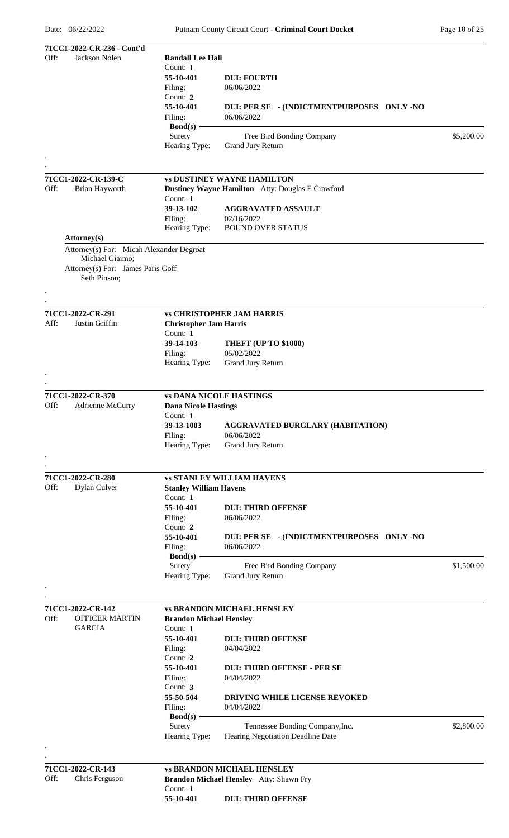|      | 71CC1-2022-CR-236 - Cont'd               |                                |                                                  |            |
|------|------------------------------------------|--------------------------------|--------------------------------------------------|------------|
| Off: | Jackson Nolen                            | <b>Randall Lee Hall</b>        |                                                  |            |
|      |                                          | Count: 1                       |                                                  |            |
|      |                                          | 55-10-401                      | <b>DUI: FOURTH</b>                               |            |
|      |                                          | Filing:                        | 06/06/2022                                       |            |
|      |                                          | Count: 2                       |                                                  |            |
|      |                                          | 55-10-401                      | DUI: PER SE - (INDICTMENTPURPOSES ONLY -NO       |            |
|      |                                          | Filing:                        | 06/06/2022                                       |            |
|      |                                          | Bond(s) -                      |                                                  |            |
|      |                                          | Surety                         | Free Bird Bonding Company                        | \$5,200.00 |
|      |                                          | Hearing Type:                  | <b>Grand Jury Return</b>                         |            |
|      |                                          |                                |                                                  |            |
|      |                                          |                                |                                                  |            |
|      |                                          |                                |                                                  |            |
|      | 71CC1-2022-CR-139-C                      |                                | <b>vs DUSTINEY WAYNE HAMILTON</b>                |            |
| Off: | Brian Hayworth                           |                                | Dustiney Wayne Hamilton Atty: Douglas E Crawford |            |
|      |                                          | Count: $1$                     |                                                  |            |
|      |                                          | 39-13-102                      | <b>AGGRAVATED ASSAULT</b>                        |            |
|      |                                          | Filing:                        | 02/16/2022                                       |            |
|      |                                          | Hearing Type:                  | <b>BOUND OVER STATUS</b>                         |            |
|      | <b>Attorney</b> (s)                      |                                |                                                  |            |
|      | Attorney(s) For: Micah Alexander Degroat |                                |                                                  |            |
|      | Michael Giaimo;                          |                                |                                                  |            |
|      | Attorney(s) For: James Paris Goff        |                                |                                                  |            |
|      | Seth Pinson;                             |                                |                                                  |            |
|      |                                          |                                |                                                  |            |
|      |                                          |                                |                                                  |            |
|      |                                          |                                |                                                  |            |
|      | 71CC1-2022-CR-291                        |                                | <b>vs CHRISTOPHER JAM HARRIS</b>                 |            |
| Aff: | Justin Griffin                           | <b>Christopher Jam Harris</b>  |                                                  |            |
|      |                                          | Count: 1                       |                                                  |            |
|      |                                          | 39-14-103                      | THEFT (UP TO \$1000)                             |            |
|      |                                          | Filing:                        | 05/02/2022                                       |            |
|      |                                          | Hearing Type:                  | Grand Jury Return                                |            |
|      |                                          |                                |                                                  |            |
|      |                                          |                                |                                                  |            |
|      |                                          |                                |                                                  |            |
|      | 71CC1-2022-CR-370                        |                                | <b>vs DANA NICOLE HASTINGS</b>                   |            |
| Off: | Adrienne McCurry                         | <b>Dana Nicole Hastings</b>    |                                                  |            |
|      |                                          | Count: $1$                     |                                                  |            |
|      |                                          | 39-13-1003                     | <b>AGGRAVATED BURGLARY (HABITATION)</b>          |            |
|      |                                          | Filing:                        | 06/06/2022                                       |            |
|      |                                          | Hearing Type:                  | Grand Jury Return                                |            |
|      |                                          |                                |                                                  |            |
|      |                                          |                                |                                                  |            |
|      | 71CC1-2022-CR-280                        |                                | <b>vs STANLEY WILLIAM HAVENS</b>                 |            |
| Off: | Dylan Culver                             | <b>Stanley William Havens</b>  |                                                  |            |
|      |                                          | Count: 1                       |                                                  |            |
|      |                                          | 55-10-401                      |                                                  |            |
|      |                                          |                                | <b>DUI: THIRD OFFENSE</b>                        |            |
|      |                                          | Filing:                        | 06/06/2022                                       |            |
|      |                                          | Count: 2                       |                                                  |            |
|      |                                          | 55-10-401                      | DUI: PER SE - (INDICTMENTPURPOSES ONLY -NO       |            |
|      |                                          | Filing:                        | 06/06/2022                                       |            |
|      |                                          | $Bond(s) -$                    |                                                  |            |
|      |                                          | Surety                         | Free Bird Bonding Company                        | \$1,500.00 |
|      |                                          | Hearing Type:                  | <b>Grand Jury Return</b>                         |            |
|      |                                          |                                |                                                  |            |
|      |                                          |                                |                                                  |            |
|      | 71CC1-2022-CR-142                        |                                | <b>vs BRANDON MICHAEL HENSLEY</b>                |            |
| Off: | <b>OFFICER MARTIN</b>                    | <b>Brandon Michael Hensley</b> |                                                  |            |
|      | <b>GARCIA</b>                            | Count: 1                       |                                                  |            |
|      |                                          | 55-10-401                      | <b>DUI: THIRD OFFENSE</b>                        |            |
|      |                                          | Filing:                        | 04/04/2022                                       |            |
|      |                                          | Count: 2                       |                                                  |            |
|      |                                          |                                |                                                  |            |
|      |                                          | 55-10-401                      | <b>DUI: THIRD OFFENSE - PER SE</b>               |            |
|      |                                          | Filing:                        | 04/04/2022                                       |            |
|      |                                          | Count: 3                       |                                                  |            |
|      |                                          | 55-50-504                      | DRIVING WHILE LICENSE REVOKED                    |            |
|      |                                          | Filing:                        | 04/04/2022                                       |            |
|      |                                          | $Bond(s) -$                    |                                                  |            |
|      |                                          | Surety                         | Tennessee Bonding Company, Inc.                  | \$2,800.00 |
|      |                                          | Hearing Type:                  | Hearing Negotiation Deadline Date                |            |
|      |                                          |                                |                                                  |            |
|      |                                          |                                |                                                  |            |
|      | 71CC1-2022-CR-143                        |                                | <b>vs BRANDON MICHAEL HENSLEY</b>                |            |
| Off: | Chris Ferguson                           |                                | Brandon Michael Hensley Atty: Shawn Fry          |            |
|      |                                          | Count: $1$                     |                                                  |            |
|      |                                          | 55-10-401                      | <b>DUI: THIRD OFFENSE</b>                        |            |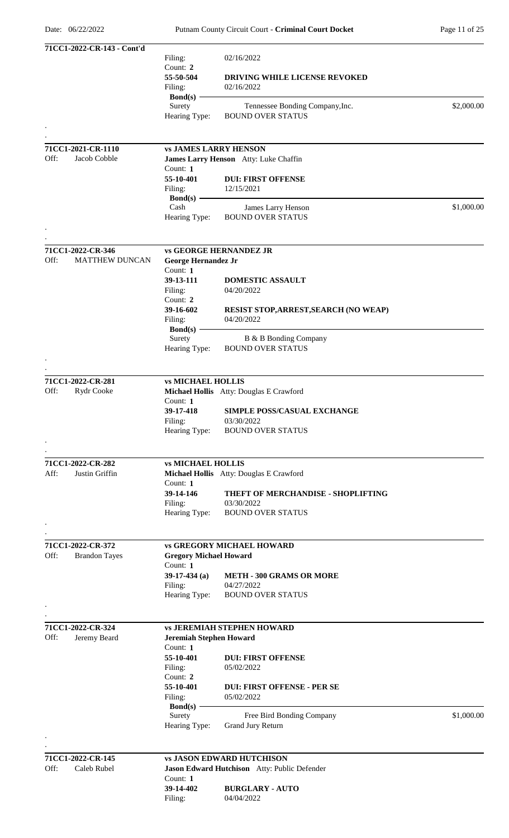|      | 71CC1-2022-CR-143 - Cont'd |                                |                                                             |            |
|------|----------------------------|--------------------------------|-------------------------------------------------------------|------------|
|      |                            | Filing:                        | 02/16/2022                                                  |            |
|      |                            | Count: 2                       |                                                             |            |
|      |                            | 55-50-504                      | DRIVING WHILE LICENSE REVOKED                               |            |
|      |                            | Filing:                        | 02/16/2022                                                  |            |
|      |                            | <b>Bond(s)</b>                 |                                                             |            |
|      |                            | Surety                         | Tennessee Bonding Company, Inc.<br><b>BOUND OVER STATUS</b> | \$2,000.00 |
|      |                            | Hearing Type:                  |                                                             |            |
|      |                            |                                |                                                             |            |
|      | 71CC1-2021-CR-1110         | <b>vs JAMES LARRY HENSON</b>   |                                                             |            |
| Off: | Jacob Cobble               |                                | James Larry Henson Atty: Luke Chaffin                       |            |
|      |                            | Count: $1$                     |                                                             |            |
|      |                            | 55-10-401                      | <b>DUI: FIRST OFFENSE</b>                                   |            |
|      |                            | Filing:                        | 12/15/2021                                                  |            |
|      |                            | $Bond(s)$ –                    |                                                             |            |
|      |                            | Cash                           | James Larry Henson                                          | \$1,000.00 |
|      |                            | Hearing Type:                  | <b>BOUND OVER STATUS</b>                                    |            |
|      |                            |                                |                                                             |            |
|      |                            |                                |                                                             |            |
|      | 71CC1-2022-CR-346          |                                | <b>vs GEORGE HERNANDEZ JR</b>                               |            |
| Off: | <b>MATTHEW DUNCAN</b>      | George Hernandez Jr            |                                                             |            |
|      |                            | Count: 1                       |                                                             |            |
|      |                            | 39-13-111                      | <b>DOMESTIC ASSAULT</b>                                     |            |
|      |                            | Filing:                        | 04/20/2022                                                  |            |
|      |                            | Count: 2                       |                                                             |            |
|      |                            | 39-16-602                      | <b>RESIST STOP, ARREST, SEARCH (NO WEAP)</b>                |            |
|      |                            | Filing:<br>Bond(s) $-$         | 04/20/2022                                                  |            |
|      |                            | Surety                         | B & B Bonding Company                                       |            |
|      |                            | Hearing Type:                  | <b>BOUND OVER STATUS</b>                                    |            |
|      |                            |                                |                                                             |            |
|      |                            |                                |                                                             |            |
|      | 71CC1-2022-CR-281          | <b>vs MICHAEL HOLLIS</b>       |                                                             |            |
| Off: | Rydr Cooke                 |                                | Michael Hollis Atty: Douglas E Crawford                     |            |
|      |                            | Count: 1                       |                                                             |            |
|      |                            | 39-17-418                      | SIMPLE POSS/CASUAL EXCHANGE                                 |            |
|      |                            | Filing:                        | 03/30/2022                                                  |            |
|      |                            | Hearing Type:                  | <b>BOUND OVER STATUS</b>                                    |            |
|      |                            |                                |                                                             |            |
|      |                            |                                |                                                             |            |
|      | 71CC1-2022-CR-282          | <b>vs MICHAEL HOLLIS</b>       |                                                             |            |
| Aff: | Justin Griffin             |                                | Michael Hollis Atty: Douglas E Crawford                     |            |
|      |                            | Count: 1                       |                                                             |            |
|      |                            | 39-14-146                      | THEFT OF MERCHANDISE - SHOPLIFTING                          |            |
|      |                            | Filing:                        | 03/30/2022                                                  |            |
|      |                            | Hearing Type:                  | <b>BOUND OVER STATUS</b>                                    |            |
|      |                            |                                |                                                             |            |
|      |                            |                                |                                                             |            |
|      | 71CC1-2022-CR-372          |                                | <b>vs GREGORY MICHAEL HOWARD</b>                            |            |
| Off: | <b>Brandon Tayes</b>       | <b>Gregory Michael Howard</b>  |                                                             |            |
|      |                            | Count: 1                       |                                                             |            |
|      |                            | 39-17-434 $(a)$                | <b>METH - 300 GRAMS OR MORE</b>                             |            |
|      |                            | Filing:                        | 04/27/2022                                                  |            |
|      |                            | Hearing Type:                  | <b>BOUND OVER STATUS</b>                                    |            |
|      |                            |                                |                                                             |            |
|      |                            |                                |                                                             |            |
|      | 71CC1-2022-CR-324          |                                | <b>vs JEREMIAH STEPHEN HOWARD</b>                           |            |
| Off: | Jeremy Beard               | <b>Jeremiah Stephen Howard</b> |                                                             |            |
|      |                            | Count: 1<br>55-10-401          |                                                             |            |
|      |                            | Filing:                        | <b>DUI: FIRST OFFENSE</b><br>05/02/2022                     |            |
|      |                            | Count: 2                       |                                                             |            |
|      |                            | 55-10-401                      | <b>DUI: FIRST OFFENSE - PER SE</b>                          |            |
|      |                            | Filing:                        | 05/02/2022                                                  |            |
|      |                            | $Bond(s)$ –                    |                                                             |            |
|      |                            | Surety                         | Free Bird Bonding Company                                   | \$1,000.00 |
|      |                            | Hearing Type:                  | Grand Jury Return                                           |            |
|      |                            |                                |                                                             |            |
|      |                            |                                |                                                             |            |
|      | 71CC1-2022-CR-145          |                                | <b>vs JASON EDWARD HUTCHISON</b>                            |            |
| Off: | Caleb Rubel                |                                | Jason Edward Hutchison Atty: Public Defender                |            |
|      |                            | Count: 1                       |                                                             |            |
|      |                            | 39-14-402                      | <b>BURGLARY - AUTO</b>                                      |            |
|      |                            | Filing:                        | 04/04/2022                                                  |            |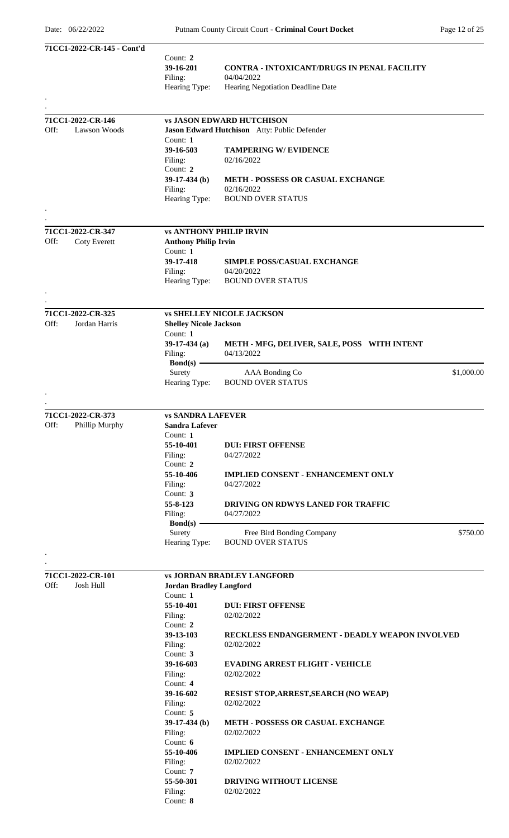|      | 71CC1-2022-CR-145 - Cont'd |                                |                                                              |
|------|----------------------------|--------------------------------|--------------------------------------------------------------|
|      |                            | Count: 2                       |                                                              |
|      |                            | 39-16-201                      | <b>CONTRA - INTOXICANT/DRUGS IN PENAL FACILITY</b>           |
|      |                            | Filing:                        | 04/04/2022                                                   |
|      |                            | Hearing Type:                  | Hearing Negotiation Deadline Date                            |
|      |                            |                                |                                                              |
|      | 71CC1-2022-CR-146          |                                | <b>vs JASON EDWARD HUTCHISON</b>                             |
| Off: | Lawson Woods               |                                | Jason Edward Hutchison Atty: Public Defender                 |
|      |                            | Count: 1                       |                                                              |
|      |                            | 39-16-503                      | <b>TAMPERING W/ EVIDENCE</b>                                 |
|      |                            | Filing:                        | 02/16/2022                                                   |
|      |                            | Count: 2                       |                                                              |
|      |                            | $39-17-434$ (b)                | <b>METH - POSSESS OR CASUAL EXCHANGE</b>                     |
|      |                            | Filing:<br>Hearing Type:       | 02/16/2022<br><b>BOUND OVER STATUS</b>                       |
|      |                            |                                |                                                              |
|      |                            |                                |                                                              |
|      | 71CC1-2022-CR-347          | <b>vs ANTHONY PHILIP IRVIN</b> |                                                              |
| Off: | <b>Coty Everett</b>        | <b>Anthony Philip Irvin</b>    |                                                              |
|      |                            | Count: 1                       |                                                              |
|      |                            | 39-17-418                      | <b>SIMPLE POSS/CASUAL EXCHANGE</b>                           |
|      |                            | Filing:                        | 04/20/2022                                                   |
|      |                            | Hearing Type:                  | <b>BOUND OVER STATUS</b>                                     |
|      |                            |                                |                                                              |
|      | 71CC1-2022-CR-325          |                                | <b>vs SHELLEY NICOLE JACKSON</b>                             |
| Off: | Jordan Harris              | <b>Shelley Nicole Jackson</b>  |                                                              |
|      |                            | Count: 1                       |                                                              |
|      |                            | $39-17-434$ (a)                | METH - MFG, DELIVER, SALE, POSS WITH INTENT                  |
|      |                            | Filing:                        | 04/13/2022                                                   |
|      |                            | $Bond(s)$ –                    |                                                              |
|      |                            | Surety                         | AAA Bonding Co<br>\$1,000.00                                 |
|      |                            | Hearing Type:                  | <b>BOUND OVER STATUS</b>                                     |
|      |                            |                                |                                                              |
|      | 71CC1-2022-CR-373          | <b>vs SANDRA LAFEVER</b>       |                                                              |
| Off: | Phillip Murphy             | <b>Sandra Lafever</b>          |                                                              |
|      |                            | Count: 1                       |                                                              |
|      |                            | 55-10-401                      | <b>DUI: FIRST OFFENSE</b>                                    |
|      |                            | Filing:                        | 04/27/2022                                                   |
|      |                            | Count: 2                       |                                                              |
|      |                            | 55-10-406                      | <b>IMPLIED CONSENT - ENHANCEMENT ONLY</b>                    |
|      |                            | Filing:                        | 04/27/2022                                                   |
|      |                            | Count: 3                       |                                                              |
|      |                            | 55-8-123                       | <b>DRIVING ON RDWYS LANED FOR TRAFFIC</b>                    |
|      |                            | Filing:                        | 04/27/2022                                                   |
|      |                            | $Bond(s)$ –<br>Surety          | Free Bird Bonding Company<br>\$750.00                        |
|      |                            | Hearing Type:                  | <b>BOUND OVER STATUS</b>                                     |
|      |                            |                                |                                                              |
|      |                            |                                |                                                              |
|      | 71CC1-2022-CR-101          |                                | <b>vs JORDAN BRADLEY LANGFORD</b>                            |
| Off: | Josh Hull                  | <b>Jordan Bradley Langford</b> |                                                              |
|      |                            | Count: 1                       |                                                              |
|      |                            | 55-10-401                      | <b>DUI: FIRST OFFENSE</b>                                    |
|      |                            | Filing:                        | 02/02/2022                                                   |
|      |                            | Count: 2                       |                                                              |
|      |                            | 39-13-103<br>Filing:           | RECKLESS ENDANGERMENT - DEADLY WEAPON INVOLVED<br>02/02/2022 |
|      |                            | Count: 3                       |                                                              |
|      |                            | 39-16-603                      | <b>EVADING ARREST FLIGHT - VEHICLE</b>                       |
|      |                            | Filing:                        | 02/02/2022                                                   |
|      |                            | Count: $4$                     |                                                              |
|      |                            | 39-16-602                      | <b>RESIST STOP, ARREST, SEARCH (NO WEAP)</b>                 |
|      |                            | Filing:                        | 02/02/2022                                                   |
|      |                            | Count: 5                       |                                                              |
|      |                            | $39-17-434$ (b)                | <b>METH - POSSESS OR CASUAL EXCHANGE</b>                     |
|      |                            | Filing:<br>Count: $6$          | 02/02/2022                                                   |
|      |                            | 55-10-406                      | <b>IMPLIED CONSENT - ENHANCEMENT ONLY</b>                    |
|      |                            | Filing:                        | 02/02/2022                                                   |
|      |                            | Count: 7                       |                                                              |
|      |                            | 55-50-301                      | <b>DRIVING WITHOUT LICENSE</b>                               |
|      |                            | Filing:                        | 02/02/2022                                                   |
|      |                            | Count: 8                       |                                                              |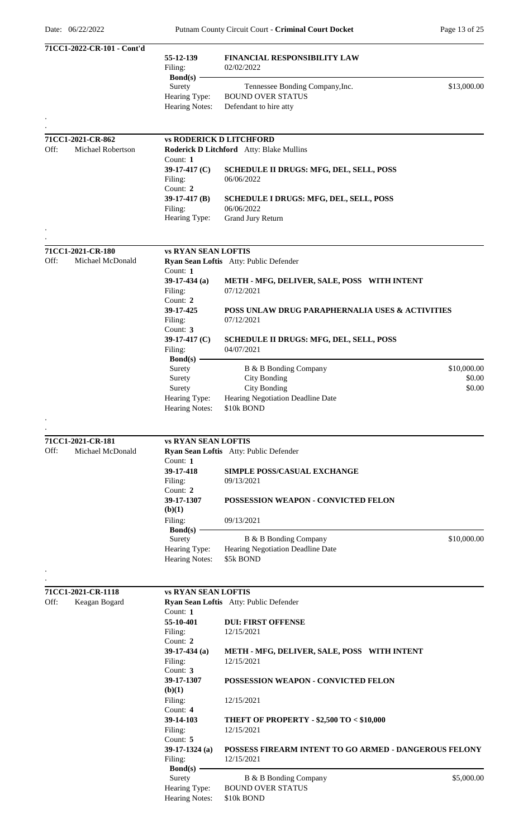| 71CC1-2022-CR-101 - Cont'd |                                                                 |                                                                     |             |
|----------------------------|-----------------------------------------------------------------|---------------------------------------------------------------------|-------------|
|                            | 55-12-139<br>Filing:<br>$Bond(s)$ –                             | FINANCIAL RESPONSIBILITY LAW<br>02/02/2022                          |             |
|                            | Surety<br>Hearing Type:                                         | Tennessee Bonding Company, Inc.<br><b>BOUND OVER STATUS</b>         | \$13,000.00 |
|                            | Hearing Notes:                                                  | Defendant to hire atty                                              |             |
| 71CC1-2021-CR-862          | <b>vs RODERICK D LITCHFORD</b>                                  |                                                                     |             |
| Off:<br>Michael Robertson  | Count: 1                                                        | Roderick D Litchford Atty: Blake Mullins                            |             |
|                            | 39-17-417 (C)<br>Filing:<br>Count: 2                            | <b>SCHEDULE II DRUGS: MFG, DEL, SELL, POSS</b><br>06/06/2022        |             |
|                            | $39-17-417$ (B)                                                 | <b>SCHEDULE I DRUGS: MFG, DEL, SELL, POSS</b>                       |             |
|                            | Filing:<br>Hearing Type:                                        | 06/06/2022<br>Grand Jury Return                                     |             |
| 71CC1-2021-CR-180          | <b>vs RYAN SEAN LOFTIS</b>                                      |                                                                     |             |
| Off:<br>Michael McDonald   | Count: 1                                                        | Ryan Sean Loftis Atty: Public Defender                              |             |
|                            | 39-17-434 $(a)$<br>Filing:<br>Count: $2$                        | METH - MFG, DELIVER, SALE, POSS WITH INTENT<br>07/12/2021           |             |
|                            | 39-17-425<br>Filing:                                            | POSS UNLAW DRUG PARAPHERNALIA USES & ACTIVITIES<br>07/12/2021       |             |
|                            | Count: 3<br>39-17-417 (C)<br>Filing:                            | <b>SCHEDULE II DRUGS: MFG, DEL, SELL, POSS</b><br>04/07/2021        |             |
|                            | $Bond(s)$ –<br>Surety                                           | B & B Bonding Company                                               | \$10,000.00 |
|                            | Surety                                                          | <b>City Bonding</b>                                                 | \$0.00      |
|                            | Surety<br>Hearing Type:                                         | <b>City Bonding</b><br>Hearing Negotiation Deadline Date            | \$0.00      |
|                            | <b>Hearing Notes:</b>                                           | \$10k BOND                                                          |             |
| 71CC1-2021-CR-181          | <b>vs RYAN SEAN LOFTIS</b>                                      |                                                                     |             |
| Off:<br>Michael McDonald   | Count: 1                                                        | Ryan Sean Loftis Atty: Public Defender                              |             |
|                            | 39-17-418<br>Filing:                                            | <b>SIMPLE POSS/CASUAL EXCHANGE</b><br>09/13/2021                    |             |
|                            | Count: 2<br>39-17-1307<br>(b)(1)                                | POSSESSION WEAPON - CONVICTED FELON                                 |             |
|                            | Filing:                                                         | 09/13/2021                                                          |             |
|                            | $Bond(s)$ –<br>Surety                                           | B & B Bonding Company                                               | \$10,000.00 |
|                            | Hearing Type:<br>Hearing Notes:                                 | Hearing Negotiation Deadline Date<br>\$5k BOND                      |             |
|                            |                                                                 |                                                                     |             |
| 71CC1-2021-CR-1118         | <b>vs RYAN SEAN LOFTIS</b>                                      |                                                                     |             |
| Off:<br>Keagan Bogard      | Count: 1                                                        | Ryan Sean Loftis Atty: Public Defender                              |             |
|                            | 55-10-401<br>Filing:                                            | <b>DUI: FIRST OFFENSE</b><br>12/15/2021                             |             |
|                            | Count: 2<br>$39-17-434$ (a)                                     | METH - MFG, DELIVER, SALE, POSS WITH INTENT                         |             |
|                            | Filing:<br>Count: 3                                             | 12/15/2021                                                          |             |
|                            | 39-17-1307<br>(b)(1)                                            | POSSESSION WEAPON - CONVICTED FELON                                 |             |
|                            | Filing:<br>Count: 4                                             | 12/15/2021                                                          |             |
|                            | 39-14-103<br>Filing:<br>Count: 5                                | THEFT OF PROPERTY - \$2,500 TO < \$10,000<br>12/15/2021             |             |
|                            | $39-17-1324$ (a)<br>Filing:                                     | POSSESS FIREARM INTENT TO GO ARMED - DANGEROUS FELONY<br>12/15/2021 |             |
|                            | $Bond(s)$ -<br>Surety<br>Hearing Type:<br><b>Hearing Notes:</b> | B & B Bonding Company<br><b>BOUND OVER STATUS</b><br>\$10k BOND     | \$5,000.00  |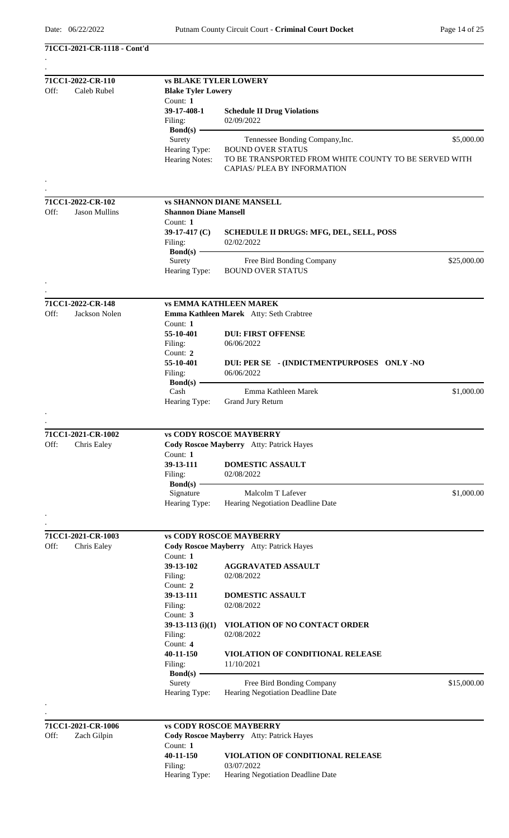**71CC1-2021-CR-1118 - Cont'd**

| Off:<br>Caleb Rubel<br><b>Blake Tyler Lowery</b><br>Count: 1<br>39-17-408-1<br><b>Schedule II Drug Violations</b><br>02/09/2022<br>Filing:<br>Bond(s) $-$<br>Surety<br>Tennessee Bonding Company, Inc.<br>Hearing Type:<br><b>BOUND OVER STATUS</b><br>Hearing Notes:<br>TO BE TRANSPORTED FROM WHITE COUNTY TO BE SERVED WITH<br>CAPIAS/PLEA BY INFORMATION<br>71CC1-2022-CR-102<br><b>vs SHANNON DIANE MANSELL</b><br>Off:<br><b>Jason Mullins</b><br><b>Shannon Diane Mansell</b><br>Count: 1<br>39-17-417 $(C)$<br>SCHEDULE II DRUGS: MFG, DEL, SELL, POSS<br>02/02/2022<br>Filing:<br>$Bond(s)$ —<br>Surety<br>Free Bird Bonding Company<br>Hearing Type:<br><b>BOUND OVER STATUS</b><br>71CC1-2022-CR-148<br><b>vs EMMA KATHLEEN MAREK</b><br>Jackson Nolen<br>Off:<br>Emma Kathleen Marek Atty: Seth Crabtree<br>Count: 1<br>55-10-401<br><b>DUI: FIRST OFFENSE</b><br>Filing:<br>06/06/2022<br>Count: 2<br>55-10-401<br>DUI: PER SE - (INDICTMENTPURPOSES ONLY -NO<br>06/06/2022<br>Filing:<br>Bond(s)<br>Cash<br>Emma Kathleen Marek<br>Grand Jury Return<br>Hearing Type:<br>71CC1-2021-CR-1002<br><b>vs CODY ROSCOE MAYBERRY</b><br>Off:<br>Chris Ealey<br>Cody Roscoe Mayberry Atty: Patrick Hayes<br>Count: $1$<br>39-13-111<br><b>DOMESTIC ASSAULT</b><br>Filing:<br>02/08/2022<br>$Bond(s)$ —<br>Signature<br>Malcolm T Lafever<br>Hearing Type:<br>Hearing Negotiation Deadline Date<br>71CC1-2021-CR-1003<br><b>vs CODY ROSCOE MAYBERRY</b><br>Off:<br>Chris Ealey<br>Cody Roscoe Mayberry Atty: Patrick Hayes<br>Count: 1<br>39-13-102<br><b>AGGRAVATED ASSAULT</b><br>Filing:<br>02/08/2022<br>Count: 2<br>39-13-111<br>DOMESTIC ASSAULT<br>Filing:<br>02/08/2022<br>Count: 3<br>$39-13-113$ (i)(1)<br>VIOLATION OF NO CONTACT ORDER<br>02/08/2022<br>Filing:<br>Count: 4<br>40-11-150<br>VIOLATION OF CONDITIONAL RELEASE<br>11/10/2021<br>Filing:<br>$Bond(s)$ –<br>Surety<br>Free Bird Bonding Company<br>Hearing Negotiation Deadline Date<br>Hearing Type:<br>71CC1-2021-CR-1006<br><b>vs CODY ROSCOE MAYBERRY</b><br>Off:<br>Zach Gilpin<br>Cody Roscoe Mayberry Atty: Patrick Hayes | 71CC1-2022-CR-110 |                              |  |             |  |  |
|---------------------------------------------------------------------------------------------------------------------------------------------------------------------------------------------------------------------------------------------------------------------------------------------------------------------------------------------------------------------------------------------------------------------------------------------------------------------------------------------------------------------------------------------------------------------------------------------------------------------------------------------------------------------------------------------------------------------------------------------------------------------------------------------------------------------------------------------------------------------------------------------------------------------------------------------------------------------------------------------------------------------------------------------------------------------------------------------------------------------------------------------------------------------------------------------------------------------------------------------------------------------------------------------------------------------------------------------------------------------------------------------------------------------------------------------------------------------------------------------------------------------------------------------------------------------------------------------------------------------------------------------------------------------------------------------------------------------------------------------------------------------------------------------------------------------------------------------------------------------------------------------------------------------------------------------------------------------------------------------------------------------------------------------------------------------------------------------------------------|-------------------|------------------------------|--|-------------|--|--|
|                                                                                                                                                                                                                                                                                                                                                                                                                                                                                                                                                                                                                                                                                                                                                                                                                                                                                                                                                                                                                                                                                                                                                                                                                                                                                                                                                                                                                                                                                                                                                                                                                                                                                                                                                                                                                                                                                                                                                                                                                                                                                                               |                   | <b>vs BLAKE TYLER LOWERY</b> |  |             |  |  |
|                                                                                                                                                                                                                                                                                                                                                                                                                                                                                                                                                                                                                                                                                                                                                                                                                                                                                                                                                                                                                                                                                                                                                                                                                                                                                                                                                                                                                                                                                                                                                                                                                                                                                                                                                                                                                                                                                                                                                                                                                                                                                                               |                   |                              |  |             |  |  |
|                                                                                                                                                                                                                                                                                                                                                                                                                                                                                                                                                                                                                                                                                                                                                                                                                                                                                                                                                                                                                                                                                                                                                                                                                                                                                                                                                                                                                                                                                                                                                                                                                                                                                                                                                                                                                                                                                                                                                                                                                                                                                                               |                   |                              |  |             |  |  |
|                                                                                                                                                                                                                                                                                                                                                                                                                                                                                                                                                                                                                                                                                                                                                                                                                                                                                                                                                                                                                                                                                                                                                                                                                                                                                                                                                                                                                                                                                                                                                                                                                                                                                                                                                                                                                                                                                                                                                                                                                                                                                                               |                   |                              |  |             |  |  |
|                                                                                                                                                                                                                                                                                                                                                                                                                                                                                                                                                                                                                                                                                                                                                                                                                                                                                                                                                                                                                                                                                                                                                                                                                                                                                                                                                                                                                                                                                                                                                                                                                                                                                                                                                                                                                                                                                                                                                                                                                                                                                                               |                   |                              |  |             |  |  |
|                                                                                                                                                                                                                                                                                                                                                                                                                                                                                                                                                                                                                                                                                                                                                                                                                                                                                                                                                                                                                                                                                                                                                                                                                                                                                                                                                                                                                                                                                                                                                                                                                                                                                                                                                                                                                                                                                                                                                                                                                                                                                                               |                   |                              |  | \$5,000.00  |  |  |
|                                                                                                                                                                                                                                                                                                                                                                                                                                                                                                                                                                                                                                                                                                                                                                                                                                                                                                                                                                                                                                                                                                                                                                                                                                                                                                                                                                                                                                                                                                                                                                                                                                                                                                                                                                                                                                                                                                                                                                                                                                                                                                               |                   |                              |  |             |  |  |
|                                                                                                                                                                                                                                                                                                                                                                                                                                                                                                                                                                                                                                                                                                                                                                                                                                                                                                                                                                                                                                                                                                                                                                                                                                                                                                                                                                                                                                                                                                                                                                                                                                                                                                                                                                                                                                                                                                                                                                                                                                                                                                               |                   |                              |  |             |  |  |
|                                                                                                                                                                                                                                                                                                                                                                                                                                                                                                                                                                                                                                                                                                                                                                                                                                                                                                                                                                                                                                                                                                                                                                                                                                                                                                                                                                                                                                                                                                                                                                                                                                                                                                                                                                                                                                                                                                                                                                                                                                                                                                               |                   |                              |  |             |  |  |
|                                                                                                                                                                                                                                                                                                                                                                                                                                                                                                                                                                                                                                                                                                                                                                                                                                                                                                                                                                                                                                                                                                                                                                                                                                                                                                                                                                                                                                                                                                                                                                                                                                                                                                                                                                                                                                                                                                                                                                                                                                                                                                               |                   |                              |  |             |  |  |
|                                                                                                                                                                                                                                                                                                                                                                                                                                                                                                                                                                                                                                                                                                                                                                                                                                                                                                                                                                                                                                                                                                                                                                                                                                                                                                                                                                                                                                                                                                                                                                                                                                                                                                                                                                                                                                                                                                                                                                                                                                                                                                               |                   |                              |  |             |  |  |
|                                                                                                                                                                                                                                                                                                                                                                                                                                                                                                                                                                                                                                                                                                                                                                                                                                                                                                                                                                                                                                                                                                                                                                                                                                                                                                                                                                                                                                                                                                                                                                                                                                                                                                                                                                                                                                                                                                                                                                                                                                                                                                               |                   |                              |  |             |  |  |
|                                                                                                                                                                                                                                                                                                                                                                                                                                                                                                                                                                                                                                                                                                                                                                                                                                                                                                                                                                                                                                                                                                                                                                                                                                                                                                                                                                                                                                                                                                                                                                                                                                                                                                                                                                                                                                                                                                                                                                                                                                                                                                               |                   |                              |  |             |  |  |
|                                                                                                                                                                                                                                                                                                                                                                                                                                                                                                                                                                                                                                                                                                                                                                                                                                                                                                                                                                                                                                                                                                                                                                                                                                                                                                                                                                                                                                                                                                                                                                                                                                                                                                                                                                                                                                                                                                                                                                                                                                                                                                               |                   |                              |  |             |  |  |
|                                                                                                                                                                                                                                                                                                                                                                                                                                                                                                                                                                                                                                                                                                                                                                                                                                                                                                                                                                                                                                                                                                                                                                                                                                                                                                                                                                                                                                                                                                                                                                                                                                                                                                                                                                                                                                                                                                                                                                                                                                                                                                               |                   |                              |  |             |  |  |
|                                                                                                                                                                                                                                                                                                                                                                                                                                                                                                                                                                                                                                                                                                                                                                                                                                                                                                                                                                                                                                                                                                                                                                                                                                                                                                                                                                                                                                                                                                                                                                                                                                                                                                                                                                                                                                                                                                                                                                                                                                                                                                               |                   |                              |  | \$25,000.00 |  |  |
|                                                                                                                                                                                                                                                                                                                                                                                                                                                                                                                                                                                                                                                                                                                                                                                                                                                                                                                                                                                                                                                                                                                                                                                                                                                                                                                                                                                                                                                                                                                                                                                                                                                                                                                                                                                                                                                                                                                                                                                                                                                                                                               |                   |                              |  |             |  |  |
|                                                                                                                                                                                                                                                                                                                                                                                                                                                                                                                                                                                                                                                                                                                                                                                                                                                                                                                                                                                                                                                                                                                                                                                                                                                                                                                                                                                                                                                                                                                                                                                                                                                                                                                                                                                                                                                                                                                                                                                                                                                                                                               |                   |                              |  |             |  |  |
|                                                                                                                                                                                                                                                                                                                                                                                                                                                                                                                                                                                                                                                                                                                                                                                                                                                                                                                                                                                                                                                                                                                                                                                                                                                                                                                                                                                                                                                                                                                                                                                                                                                                                                                                                                                                                                                                                                                                                                                                                                                                                                               |                   |                              |  |             |  |  |
|                                                                                                                                                                                                                                                                                                                                                                                                                                                                                                                                                                                                                                                                                                                                                                                                                                                                                                                                                                                                                                                                                                                                                                                                                                                                                                                                                                                                                                                                                                                                                                                                                                                                                                                                                                                                                                                                                                                                                                                                                                                                                                               |                   |                              |  |             |  |  |
|                                                                                                                                                                                                                                                                                                                                                                                                                                                                                                                                                                                                                                                                                                                                                                                                                                                                                                                                                                                                                                                                                                                                                                                                                                                                                                                                                                                                                                                                                                                                                                                                                                                                                                                                                                                                                                                                                                                                                                                                                                                                                                               |                   |                              |  |             |  |  |
|                                                                                                                                                                                                                                                                                                                                                                                                                                                                                                                                                                                                                                                                                                                                                                                                                                                                                                                                                                                                                                                                                                                                                                                                                                                                                                                                                                                                                                                                                                                                                                                                                                                                                                                                                                                                                                                                                                                                                                                                                                                                                                               |                   |                              |  |             |  |  |
|                                                                                                                                                                                                                                                                                                                                                                                                                                                                                                                                                                                                                                                                                                                                                                                                                                                                                                                                                                                                                                                                                                                                                                                                                                                                                                                                                                                                                                                                                                                                                                                                                                                                                                                                                                                                                                                                                                                                                                                                                                                                                                               |                   |                              |  |             |  |  |
|                                                                                                                                                                                                                                                                                                                                                                                                                                                                                                                                                                                                                                                                                                                                                                                                                                                                                                                                                                                                                                                                                                                                                                                                                                                                                                                                                                                                                                                                                                                                                                                                                                                                                                                                                                                                                                                                                                                                                                                                                                                                                                               |                   |                              |  |             |  |  |
|                                                                                                                                                                                                                                                                                                                                                                                                                                                                                                                                                                                                                                                                                                                                                                                                                                                                                                                                                                                                                                                                                                                                                                                                                                                                                                                                                                                                                                                                                                                                                                                                                                                                                                                                                                                                                                                                                                                                                                                                                                                                                                               |                   |                              |  |             |  |  |
|                                                                                                                                                                                                                                                                                                                                                                                                                                                                                                                                                                                                                                                                                                                                                                                                                                                                                                                                                                                                                                                                                                                                                                                                                                                                                                                                                                                                                                                                                                                                                                                                                                                                                                                                                                                                                                                                                                                                                                                                                                                                                                               |                   |                              |  |             |  |  |
|                                                                                                                                                                                                                                                                                                                                                                                                                                                                                                                                                                                                                                                                                                                                                                                                                                                                                                                                                                                                                                                                                                                                                                                                                                                                                                                                                                                                                                                                                                                                                                                                                                                                                                                                                                                                                                                                                                                                                                                                                                                                                                               |                   |                              |  | \$1,000.00  |  |  |
|                                                                                                                                                                                                                                                                                                                                                                                                                                                                                                                                                                                                                                                                                                                                                                                                                                                                                                                                                                                                                                                                                                                                                                                                                                                                                                                                                                                                                                                                                                                                                                                                                                                                                                                                                                                                                                                                                                                                                                                                                                                                                                               |                   |                              |  |             |  |  |
|                                                                                                                                                                                                                                                                                                                                                                                                                                                                                                                                                                                                                                                                                                                                                                                                                                                                                                                                                                                                                                                                                                                                                                                                                                                                                                                                                                                                                                                                                                                                                                                                                                                                                                                                                                                                                                                                                                                                                                                                                                                                                                               |                   |                              |  |             |  |  |
|                                                                                                                                                                                                                                                                                                                                                                                                                                                                                                                                                                                                                                                                                                                                                                                                                                                                                                                                                                                                                                                                                                                                                                                                                                                                                                                                                                                                                                                                                                                                                                                                                                                                                                                                                                                                                                                                                                                                                                                                                                                                                                               |                   |                              |  |             |  |  |
|                                                                                                                                                                                                                                                                                                                                                                                                                                                                                                                                                                                                                                                                                                                                                                                                                                                                                                                                                                                                                                                                                                                                                                                                                                                                                                                                                                                                                                                                                                                                                                                                                                                                                                                                                                                                                                                                                                                                                                                                                                                                                                               |                   |                              |  |             |  |  |
|                                                                                                                                                                                                                                                                                                                                                                                                                                                                                                                                                                                                                                                                                                                                                                                                                                                                                                                                                                                                                                                                                                                                                                                                                                                                                                                                                                                                                                                                                                                                                                                                                                                                                                                                                                                                                                                                                                                                                                                                                                                                                                               |                   |                              |  |             |  |  |
|                                                                                                                                                                                                                                                                                                                                                                                                                                                                                                                                                                                                                                                                                                                                                                                                                                                                                                                                                                                                                                                                                                                                                                                                                                                                                                                                                                                                                                                                                                                                                                                                                                                                                                                                                                                                                                                                                                                                                                                                                                                                                                               |                   |                              |  |             |  |  |
|                                                                                                                                                                                                                                                                                                                                                                                                                                                                                                                                                                                                                                                                                                                                                                                                                                                                                                                                                                                                                                                                                                                                                                                                                                                                                                                                                                                                                                                                                                                                                                                                                                                                                                                                                                                                                                                                                                                                                                                                                                                                                                               |                   |                              |  |             |  |  |
|                                                                                                                                                                                                                                                                                                                                                                                                                                                                                                                                                                                                                                                                                                                                                                                                                                                                                                                                                                                                                                                                                                                                                                                                                                                                                                                                                                                                                                                                                                                                                                                                                                                                                                                                                                                                                                                                                                                                                                                                                                                                                                               |                   |                              |  |             |  |  |
|                                                                                                                                                                                                                                                                                                                                                                                                                                                                                                                                                                                                                                                                                                                                                                                                                                                                                                                                                                                                                                                                                                                                                                                                                                                                                                                                                                                                                                                                                                                                                                                                                                                                                                                                                                                                                                                                                                                                                                                                                                                                                                               |                   |                              |  | \$1,000.00  |  |  |
|                                                                                                                                                                                                                                                                                                                                                                                                                                                                                                                                                                                                                                                                                                                                                                                                                                                                                                                                                                                                                                                                                                                                                                                                                                                                                                                                                                                                                                                                                                                                                                                                                                                                                                                                                                                                                                                                                                                                                                                                                                                                                                               |                   |                              |  |             |  |  |
|                                                                                                                                                                                                                                                                                                                                                                                                                                                                                                                                                                                                                                                                                                                                                                                                                                                                                                                                                                                                                                                                                                                                                                                                                                                                                                                                                                                                                                                                                                                                                                                                                                                                                                                                                                                                                                                                                                                                                                                                                                                                                                               |                   |                              |  |             |  |  |
|                                                                                                                                                                                                                                                                                                                                                                                                                                                                                                                                                                                                                                                                                                                                                                                                                                                                                                                                                                                                                                                                                                                                                                                                                                                                                                                                                                                                                                                                                                                                                                                                                                                                                                                                                                                                                                                                                                                                                                                                                                                                                                               |                   |                              |  |             |  |  |
|                                                                                                                                                                                                                                                                                                                                                                                                                                                                                                                                                                                                                                                                                                                                                                                                                                                                                                                                                                                                                                                                                                                                                                                                                                                                                                                                                                                                                                                                                                                                                                                                                                                                                                                                                                                                                                                                                                                                                                                                                                                                                                               |                   |                              |  |             |  |  |
|                                                                                                                                                                                                                                                                                                                                                                                                                                                                                                                                                                                                                                                                                                                                                                                                                                                                                                                                                                                                                                                                                                                                                                                                                                                                                                                                                                                                                                                                                                                                                                                                                                                                                                                                                                                                                                                                                                                                                                                                                                                                                                               |                   |                              |  |             |  |  |
|                                                                                                                                                                                                                                                                                                                                                                                                                                                                                                                                                                                                                                                                                                                                                                                                                                                                                                                                                                                                                                                                                                                                                                                                                                                                                                                                                                                                                                                                                                                                                                                                                                                                                                                                                                                                                                                                                                                                                                                                                                                                                                               |                   |                              |  |             |  |  |
|                                                                                                                                                                                                                                                                                                                                                                                                                                                                                                                                                                                                                                                                                                                                                                                                                                                                                                                                                                                                                                                                                                                                                                                                                                                                                                                                                                                                                                                                                                                                                                                                                                                                                                                                                                                                                                                                                                                                                                                                                                                                                                               |                   |                              |  |             |  |  |
|                                                                                                                                                                                                                                                                                                                                                                                                                                                                                                                                                                                                                                                                                                                                                                                                                                                                                                                                                                                                                                                                                                                                                                                                                                                                                                                                                                                                                                                                                                                                                                                                                                                                                                                                                                                                                                                                                                                                                                                                                                                                                                               |                   |                              |  |             |  |  |
|                                                                                                                                                                                                                                                                                                                                                                                                                                                                                                                                                                                                                                                                                                                                                                                                                                                                                                                                                                                                                                                                                                                                                                                                                                                                                                                                                                                                                                                                                                                                                                                                                                                                                                                                                                                                                                                                                                                                                                                                                                                                                                               |                   |                              |  |             |  |  |
|                                                                                                                                                                                                                                                                                                                                                                                                                                                                                                                                                                                                                                                                                                                                                                                                                                                                                                                                                                                                                                                                                                                                                                                                                                                                                                                                                                                                                                                                                                                                                                                                                                                                                                                                                                                                                                                                                                                                                                                                                                                                                                               |                   |                              |  |             |  |  |
|                                                                                                                                                                                                                                                                                                                                                                                                                                                                                                                                                                                                                                                                                                                                                                                                                                                                                                                                                                                                                                                                                                                                                                                                                                                                                                                                                                                                                                                                                                                                                                                                                                                                                                                                                                                                                                                                                                                                                                                                                                                                                                               |                   |                              |  |             |  |  |
|                                                                                                                                                                                                                                                                                                                                                                                                                                                                                                                                                                                                                                                                                                                                                                                                                                                                                                                                                                                                                                                                                                                                                                                                                                                                                                                                                                                                                                                                                                                                                                                                                                                                                                                                                                                                                                                                                                                                                                                                                                                                                                               |                   |                              |  |             |  |  |
|                                                                                                                                                                                                                                                                                                                                                                                                                                                                                                                                                                                                                                                                                                                                                                                                                                                                                                                                                                                                                                                                                                                                                                                                                                                                                                                                                                                                                                                                                                                                                                                                                                                                                                                                                                                                                                                                                                                                                                                                                                                                                                               |                   |                              |  |             |  |  |
|                                                                                                                                                                                                                                                                                                                                                                                                                                                                                                                                                                                                                                                                                                                                                                                                                                                                                                                                                                                                                                                                                                                                                                                                                                                                                                                                                                                                                                                                                                                                                                                                                                                                                                                                                                                                                                                                                                                                                                                                                                                                                                               |                   |                              |  |             |  |  |
|                                                                                                                                                                                                                                                                                                                                                                                                                                                                                                                                                                                                                                                                                                                                                                                                                                                                                                                                                                                                                                                                                                                                                                                                                                                                                                                                                                                                                                                                                                                                                                                                                                                                                                                                                                                                                                                                                                                                                                                                                                                                                                               |                   |                              |  |             |  |  |
|                                                                                                                                                                                                                                                                                                                                                                                                                                                                                                                                                                                                                                                                                                                                                                                                                                                                                                                                                                                                                                                                                                                                                                                                                                                                                                                                                                                                                                                                                                                                                                                                                                                                                                                                                                                                                                                                                                                                                                                                                                                                                                               |                   |                              |  |             |  |  |
|                                                                                                                                                                                                                                                                                                                                                                                                                                                                                                                                                                                                                                                                                                                                                                                                                                                                                                                                                                                                                                                                                                                                                                                                                                                                                                                                                                                                                                                                                                                                                                                                                                                                                                                                                                                                                                                                                                                                                                                                                                                                                                               |                   |                              |  |             |  |  |
|                                                                                                                                                                                                                                                                                                                                                                                                                                                                                                                                                                                                                                                                                                                                                                                                                                                                                                                                                                                                                                                                                                                                                                                                                                                                                                                                                                                                                                                                                                                                                                                                                                                                                                                                                                                                                                                                                                                                                                                                                                                                                                               |                   |                              |  | \$15,000.00 |  |  |
|                                                                                                                                                                                                                                                                                                                                                                                                                                                                                                                                                                                                                                                                                                                                                                                                                                                                                                                                                                                                                                                                                                                                                                                                                                                                                                                                                                                                                                                                                                                                                                                                                                                                                                                                                                                                                                                                                                                                                                                                                                                                                                               |                   |                              |  |             |  |  |
|                                                                                                                                                                                                                                                                                                                                                                                                                                                                                                                                                                                                                                                                                                                                                                                                                                                                                                                                                                                                                                                                                                                                                                                                                                                                                                                                                                                                                                                                                                                                                                                                                                                                                                                                                                                                                                                                                                                                                                                                                                                                                                               |                   |                              |  |             |  |  |
|                                                                                                                                                                                                                                                                                                                                                                                                                                                                                                                                                                                                                                                                                                                                                                                                                                                                                                                                                                                                                                                                                                                                                                                                                                                                                                                                                                                                                                                                                                                                                                                                                                                                                                                                                                                                                                                                                                                                                                                                                                                                                                               |                   |                              |  |             |  |  |
| Count: 1                                                                                                                                                                                                                                                                                                                                                                                                                                                                                                                                                                                                                                                                                                                                                                                                                                                                                                                                                                                                                                                                                                                                                                                                                                                                                                                                                                                                                                                                                                                                                                                                                                                                                                                                                                                                                                                                                                                                                                                                                                                                                                      |                   |                              |  |             |  |  |
| 40-11-150<br>VIOLATION OF CONDITIONAL RELEASE                                                                                                                                                                                                                                                                                                                                                                                                                                                                                                                                                                                                                                                                                                                                                                                                                                                                                                                                                                                                                                                                                                                                                                                                                                                                                                                                                                                                                                                                                                                                                                                                                                                                                                                                                                                                                                                                                                                                                                                                                                                                 |                   |                              |  |             |  |  |
| Filing:<br>03/07/2022                                                                                                                                                                                                                                                                                                                                                                                                                                                                                                                                                                                                                                                                                                                                                                                                                                                                                                                                                                                                                                                                                                                                                                                                                                                                                                                                                                                                                                                                                                                                                                                                                                                                                                                                                                                                                                                                                                                                                                                                                                                                                         |                   |                              |  |             |  |  |
| Hearing Type:<br>Hearing Negotiation Deadline Date                                                                                                                                                                                                                                                                                                                                                                                                                                                                                                                                                                                                                                                                                                                                                                                                                                                                                                                                                                                                                                                                                                                                                                                                                                                                                                                                                                                                                                                                                                                                                                                                                                                                                                                                                                                                                                                                                                                                                                                                                                                            |                   |                              |  |             |  |  |
|                                                                                                                                                                                                                                                                                                                                                                                                                                                                                                                                                                                                                                                                                                                                                                                                                                                                                                                                                                                                                                                                                                                                                                                                                                                                                                                                                                                                                                                                                                                                                                                                                                                                                                                                                                                                                                                                                                                                                                                                                                                                                                               |                   |                              |  |             |  |  |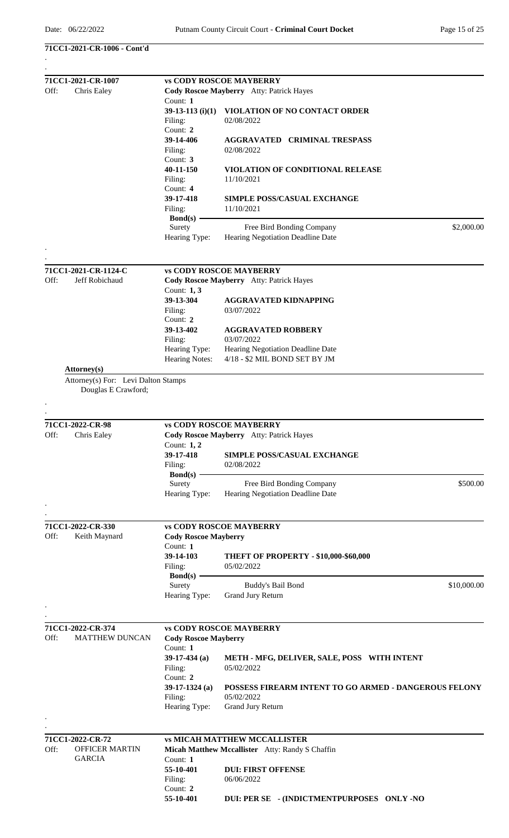## **71CC1-2021-CR-1006 - Cont'd**

|      | 71CC1-2021-CR-1007                  |                                          | <b>vs CODY ROSCOE MAYBERRY</b>                        |  |  |  |
|------|-------------------------------------|------------------------------------------|-------------------------------------------------------|--|--|--|
| Off: | Chris Ealey                         | Cody Roscoe Mayberry Atty: Patrick Hayes |                                                       |  |  |  |
|      |                                     | Count: 1                                 |                                                       |  |  |  |
|      |                                     | $39-13-113$ (i)(1)                       | VIOLATION OF NO CONTACT ORDER                         |  |  |  |
|      |                                     | Filing:                                  | 02/08/2022                                            |  |  |  |
|      |                                     | Count: 2                                 |                                                       |  |  |  |
|      |                                     | 39-14-406                                | <b>AGGRAVATED CRIMINAL TRESPASS</b>                   |  |  |  |
|      |                                     | Filing:                                  | 02/08/2022                                            |  |  |  |
|      |                                     | Count: 3                                 |                                                       |  |  |  |
|      |                                     | 40-11-150                                | <b>VIOLATION OF CONDITIONAL RELEASE</b>               |  |  |  |
|      |                                     |                                          |                                                       |  |  |  |
|      |                                     | Filing:                                  | 11/10/2021                                            |  |  |  |
|      |                                     | Count: 4                                 |                                                       |  |  |  |
|      |                                     | 39-17-418                                | <b>SIMPLE POSS/CASUAL EXCHANGE</b>                    |  |  |  |
|      |                                     | Filing:                                  | 11/10/2021                                            |  |  |  |
|      |                                     | $Bond(s)$ –                              |                                                       |  |  |  |
|      |                                     | Surety                                   | \$2,000.00<br>Free Bird Bonding Company               |  |  |  |
|      |                                     | Hearing Type:                            | Hearing Negotiation Deadline Date                     |  |  |  |
|      |                                     |                                          |                                                       |  |  |  |
|      | 71CC1-2021-CR-1124-C                |                                          | <b>vs CODY ROSCOE MAYBERRY</b>                        |  |  |  |
| Off: | Jeff Robichaud                      |                                          | Cody Roscoe Mayberry Atty: Patrick Hayes              |  |  |  |
|      |                                     | Count: $1, 3$                            |                                                       |  |  |  |
|      |                                     | 39-13-304                                | <b>AGGRAVATED KIDNAPPING</b>                          |  |  |  |
|      |                                     | Filing:                                  | 03/07/2022                                            |  |  |  |
|      |                                     | Count: 2                                 |                                                       |  |  |  |
|      |                                     | 39-13-402                                | <b>AGGRAVATED ROBBERY</b>                             |  |  |  |
|      |                                     | Filing:                                  | 03/07/2022                                            |  |  |  |
|      |                                     | Hearing Type:                            | Hearing Negotiation Deadline Date                     |  |  |  |
|      |                                     | Hearing Notes:                           | 4/18 - \$2 MIL BOND SET BY JM                         |  |  |  |
|      | <b>Attorney</b> (s)                 |                                          |                                                       |  |  |  |
|      | Attorney(s) For: Levi Dalton Stamps |                                          |                                                       |  |  |  |
|      | Douglas E Crawford;                 |                                          |                                                       |  |  |  |
|      |                                     |                                          |                                                       |  |  |  |
|      | 71CC1-2022-CR-98                    |                                          | <b>vs CODY ROSCOE MAYBERRY</b>                        |  |  |  |
|      |                                     |                                          |                                                       |  |  |  |
| Off: | Chris Ealey                         |                                          | Cody Roscoe Mayberry Atty: Patrick Hayes              |  |  |  |
|      |                                     | Count: $1, 2$                            |                                                       |  |  |  |
|      |                                     | 39-17-418                                | <b>SIMPLE POSS/CASUAL EXCHANGE</b>                    |  |  |  |
|      |                                     | Filing:                                  | 02/08/2022                                            |  |  |  |
|      |                                     | $Bond(s)$ —                              |                                                       |  |  |  |
|      |                                     | Surety                                   | \$500.00<br>Free Bird Bonding Company                 |  |  |  |
|      |                                     | Hearing Type:                            | Hearing Negotiation Deadline Date                     |  |  |  |
|      |                                     |                                          |                                                       |  |  |  |
|      | 71CC1-2022-CR-330                   |                                          | <b>vs CODY ROSCOE MAYBERRY</b>                        |  |  |  |
| Off: | Keith Maynard                       | <b>Cody Roscoe Mayberry</b>              |                                                       |  |  |  |
|      |                                     | Count: 1                                 |                                                       |  |  |  |
|      |                                     | 39-14-103                                | <b>THEFT OF PROPERTY - \$10,000-\$60,000</b>          |  |  |  |
|      |                                     | Filing:                                  | 05/02/2022                                            |  |  |  |
|      |                                     | $Bond(s)$ –                              |                                                       |  |  |  |
|      |                                     | Surety                                   | \$10,000.00<br>Buddy's Bail Bond                      |  |  |  |
|      |                                     | Hearing Type:                            | Grand Jury Return                                     |  |  |  |
|      |                                     |                                          |                                                       |  |  |  |
|      | 71CC1-2022-CR-374                   |                                          | <b>vs CODY ROSCOE MAYBERRY</b>                        |  |  |  |
| Off: | <b>MATTHEW DUNCAN</b>               | <b>Cody Roscoe Mayberry</b>              |                                                       |  |  |  |
|      |                                     |                                          |                                                       |  |  |  |
|      |                                     | Count: 1                                 |                                                       |  |  |  |
|      |                                     | $39-17-434$ (a)                          | METH - MFG, DELIVER, SALE, POSS WITH INTENT           |  |  |  |
|      |                                     | Filing:                                  | 05/02/2022                                            |  |  |  |
|      |                                     | Count: 2                                 |                                                       |  |  |  |
|      |                                     | $39-17-1324$ (a)                         | POSSESS FIREARM INTENT TO GO ARMED - DANGEROUS FELONY |  |  |  |
|      |                                     | Filing:                                  | 05/02/2022                                            |  |  |  |
|      |                                     | Hearing Type:                            | Grand Jury Return                                     |  |  |  |
|      |                                     |                                          |                                                       |  |  |  |
|      |                                     |                                          |                                                       |  |  |  |
|      | 71CC1-2022-CR-72                    |                                          | <b>vs MICAH MATTHEW MCCALLISTER</b>                   |  |  |  |
| Off: | <b>OFFICER MARTIN</b>               |                                          | Micah Matthew Mccallister Atty: Randy S Chaffin       |  |  |  |
|      | <b>GARCIA</b>                       | Count: 1                                 |                                                       |  |  |  |
|      |                                     | 55-10-401                                | <b>DUI: FIRST OFFENSE</b>                             |  |  |  |
|      |                                     | Filing:                                  | 06/06/2022                                            |  |  |  |
|      |                                     | Count: 2                                 |                                                       |  |  |  |
|      |                                     | 55-10-401                                | DUI: PER SE - (INDICTMENTPURPOSES ONLY -NO            |  |  |  |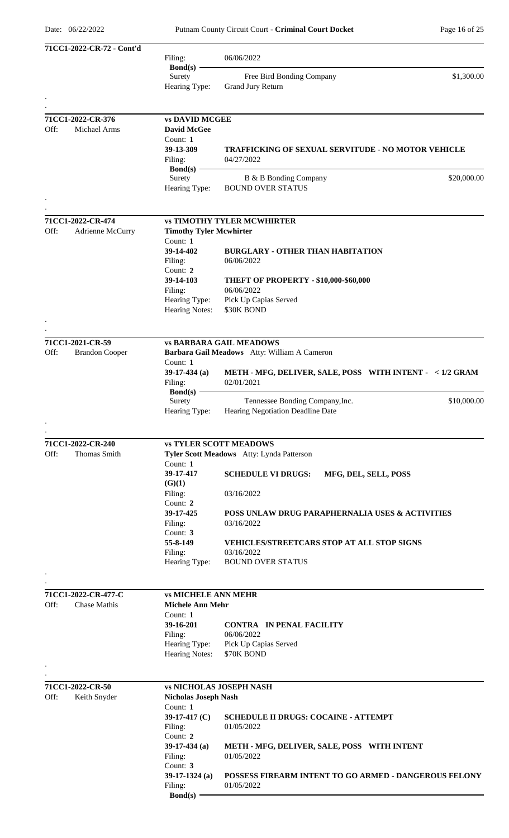| 71CC1-2022-CR-72 - Cont'd     |                                     |                                                           |
|-------------------------------|-------------------------------------|-----------------------------------------------------------|
|                               | Filing:                             | 06/06/2022                                                |
|                               | $Bond(s) -$                         |                                                           |
|                               | Surety                              | \$1,300.00<br>Free Bird Bonding Company                   |
|                               | Hearing Type:                       | Grand Jury Return                                         |
|                               |                                     |                                                           |
| 71CC1-2022-CR-376             | <b>vs DAVID MCGEE</b>               |                                                           |
| Michael Arms<br>Off:          | <b>David McGee</b>                  |                                                           |
|                               | Count: $1$                          |                                                           |
|                               | 39-13-309                           | <b>TRAFFICKING OF SEXUAL SERVITUDE - NO MOTOR VEHICLE</b> |
|                               | Filing:                             | 04/27/2022                                                |
|                               | Bond(s) $-$                         |                                                           |
|                               | Surety                              | \$20,000.00<br>B & B Bonding Company                      |
|                               | Hearing Type:                       | <b>BOUND OVER STATUS</b>                                  |
|                               |                                     |                                                           |
|                               |                                     |                                                           |
| 71CC1-2022-CR-474             |                                     | <b>vs TIMOTHY TYLER MCWHIRTER</b>                         |
| Off:<br>Adrienne McCurry      | <b>Timothy Tyler Mcwhirter</b>      |                                                           |
|                               | Count: $1$                          |                                                           |
|                               | 39-14-402                           | <b>BURGLARY - OTHER THAN HABITATION</b>                   |
|                               | Filing:<br>Count: 2                 | 06/06/2022                                                |
|                               | 39-14-103                           | <b>THEFT OF PROPERTY - \$10,000-\$60,000</b>              |
|                               | Filing:                             | 06/06/2022                                                |
|                               | Hearing Type:                       | Pick Up Capias Served                                     |
|                               | <b>Hearing Notes:</b>               | \$30K BOND                                                |
|                               |                                     |                                                           |
|                               |                                     |                                                           |
| 71CC1-2021-CR-59              |                                     | <b>vs BARBARA GAIL MEADOWS</b>                            |
| Off:<br><b>Brandon Cooper</b> |                                     | Barbara Gail Meadows Atty: William A Cameron              |
|                               | Count: 1                            |                                                           |
|                               | $39-17-434$ (a)                     | METH - MFG, DELIVER, SALE, POSS WITH INTENT - < 1/2 GRAM  |
|                               | Filing:                             | 02/01/2021                                                |
|                               | Bond $(s)$ -                        |                                                           |
|                               | Surety                              | Tennessee Bonding Company, Inc.<br>\$10,000.00            |
|                               | Hearing Type:                       | Hearing Negotiation Deadline Date                         |
|                               |                                     |                                                           |
| 71CC1-2022-CR-240             |                                     | <b>vs TYLER SCOTT MEADOWS</b>                             |
| Off:<br><b>Thomas Smith</b>   |                                     | Tyler Scott Meadows Atty: Lynda Patterson                 |
|                               | Count: $1$                          |                                                           |
|                               | 39-17-417                           | <b>SCHEDULE VI DRUGS:</b><br>MFG, DEL, SELL, POSS         |
|                               | (G)(1)                              |                                                           |
|                               | Filing:                             | 03/16/2022                                                |
|                               | Count: 2                            |                                                           |
|                               | 39-17-425                           | POSS UNLAW DRUG PARAPHERNALIA USES & ACTIVITIES           |
|                               | Filing:                             | 03/16/2022                                                |
|                               | Count: 3                            |                                                           |
|                               | 55-8-149                            | <b>VEHICLES/STREETCARS STOP AT ALL STOP SIGNS</b>         |
|                               | Filing:                             | 03/16/2022                                                |
|                               | Hearing Type:                       | <b>BOUND OVER STATUS</b>                                  |
|                               |                                     |                                                           |
|                               |                                     |                                                           |
| 71CC1-2022-CR-477-C<br>Off:   | <b>vs MICHELE ANN MEHR</b>          |                                                           |
| Chase Mathis                  | <b>Michele Ann Mehr</b><br>Count: 1 |                                                           |
|                               | 39-16-201                           | <b>CONTRA IN PENAL FACILITY</b>                           |
|                               | Filing:                             | 06/06/2022                                                |
|                               | Hearing Type:                       | Pick Up Capias Served                                     |
|                               | Hearing Notes:                      | \$70K BOND                                                |
|                               |                                     |                                                           |
|                               |                                     |                                                           |
| 71CC1-2022-CR-50              |                                     | <b>vs NICHOLAS JOSEPH NASH</b>                            |
| Off:<br>Keith Snyder          | <b>Nicholas Joseph Nash</b>         |                                                           |
|                               | Count: 1                            |                                                           |
|                               | 39-17-417 $(C)$                     | <b>SCHEDULE II DRUGS: COCAINE - ATTEMPT</b>               |
|                               | Filing:                             | 01/05/2022                                                |
|                               | Count: 2                            |                                                           |
|                               | $39-17-434$ (a)                     | METH - MFG, DELIVER, SALE, POSS WITH INTENT               |
|                               | Filing:                             | 01/05/2022                                                |
|                               | Count: 3                            | POSSESS FIREARM INTENT TO GO ARMED - DANGEROUS FELONY     |
|                               | $39-17-1324$ (a)<br>Filing:         | 01/05/2022                                                |
|                               | <b>Bond(s)</b>                      |                                                           |
|                               |                                     |                                                           |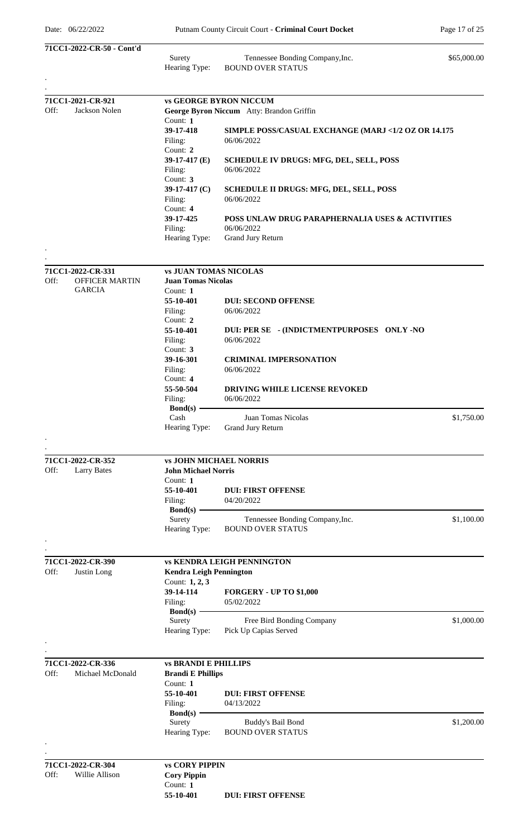|      | 71CC1-2022-CR-50 - Cont'd        |                                        |                                                             |             |
|------|----------------------------------|----------------------------------------|-------------------------------------------------------------|-------------|
|      |                                  | Surety<br>Hearing Type:                | Tennessee Bonding Company, Inc.<br><b>BOUND OVER STATUS</b> | \$65,000.00 |
|      |                                  |                                        |                                                             |             |
|      | 71CC1-2021-CR-921                |                                        | <b>vs GEORGE BYRON NICCUM</b>                               |             |
| Off: | Jackson Nolen                    | Count: 1                               | George Byron Niccum Atty: Brandon Griffin                   |             |
|      |                                  | 39-17-418                              | SIMPLE POSS/CASUAL EXCHANGE (MARJ <1/2 OZ OR 14.175         |             |
|      |                                  | Filing:<br>Count: 2                    | 06/06/2022                                                  |             |
|      |                                  | 39-17-417 $(E)$                        | <b>SCHEDULE IV DRUGS: MFG, DEL, SELL, POSS</b>              |             |
|      |                                  | Filing:<br>Count: 3                    | 06/06/2022                                                  |             |
|      |                                  | 39-17-417 $(C)$                        | <b>SCHEDULE II DRUGS: MFG, DEL, SELL, POSS</b>              |             |
|      |                                  | Filing:<br>Count: 4                    | 06/06/2022                                                  |             |
|      |                                  | 39-17-425                              | POSS UNLAW DRUG PARAPHERNALIA USES & ACTIVITIES             |             |
|      |                                  | Filing:<br>Hearing Type:               | 06/06/2022<br>Grand Jury Return                             |             |
|      |                                  |                                        |                                                             |             |
|      | 71CC1-2022-CR-331                | <b>vs JUAN TOMAS NICOLAS</b>           |                                                             |             |
| Off: | <b>OFFICER MARTIN</b>            | <b>Juan Tomas Nicolas</b>              |                                                             |             |
|      | <b>GARCIA</b>                    | Count: 1<br>55-10-401                  | <b>DUI: SECOND OFFENSE</b>                                  |             |
|      |                                  | Filing:                                | 06/06/2022                                                  |             |
|      |                                  | Count: $2$<br>55-10-401                | DUI: PER SE - (INDICTMENTPURPOSES ONLY -NO                  |             |
|      |                                  | Filing:                                | 06/06/2022                                                  |             |
|      |                                  | Count: 3<br>39-16-301                  | <b>CRIMINAL IMPERSONATION</b>                               |             |
|      |                                  | Filing:                                | 06/06/2022                                                  |             |
|      |                                  | Count: 4<br>55-50-504                  | <b>DRIVING WHILE LICENSE REVOKED</b>                        |             |
|      |                                  | Filing:                                | 06/06/2022                                                  |             |
|      |                                  | <b>Bond(s)</b><br>Cash                 | Juan Tomas Nicolas                                          | \$1,750.00  |
|      |                                  | Hearing Type:                          | <b>Grand Jury Return</b>                                    |             |
|      |                                  |                                        |                                                             |             |
|      | 71CC1-2022-CR-352                |                                        | <b>vs JOHN MICHAEL NORRIS</b>                               |             |
| Off: | <b>Larry Bates</b>               | <b>John Michael Norris</b><br>Count: 1 |                                                             |             |
|      |                                  | 55-10-401                              | <b>DUI: FIRST OFFENSE</b>                                   |             |
|      |                                  | Filing:<br>$Bond(s)$ –                 | 04/20/2022                                                  |             |
|      |                                  | Surety                                 | Tennessee Bonding Company, Inc.                             | \$1,100.00  |
|      |                                  | Hearing Type:                          | <b>BOUND OVER STATUS</b>                                    |             |
|      |                                  |                                        |                                                             |             |
| Off: | 71CC1-2022-CR-390<br>Justin Long | <b>Kendra Leigh Pennington</b>         | <b>vs KENDRA LEIGH PENNINGTON</b>                           |             |
|      |                                  | Count: 1, 2, 3                         |                                                             |             |
|      |                                  | 39-14-114                              | <b>FORGERY - UP TO \$1,000</b>                              |             |
|      |                                  | Filing:<br>$Bond(s)$ –                 | 05/02/2022                                                  |             |
|      |                                  | Surety                                 | Free Bird Bonding Company                                   | \$1,000.00  |
|      |                                  | Hearing Type:                          | Pick Up Capias Served                                       |             |
|      | 71CC1-2022-CR-336                | <b>vs BRANDI E PHILLIPS</b>            |                                                             |             |
| Off: | Michael McDonald                 | <b>Brandi E Phillips</b>               |                                                             |             |
|      |                                  | Count: 1<br>55-10-401                  | <b>DUI: FIRST OFFENSE</b>                                   |             |
|      |                                  | Filing:                                | 04/13/2022                                                  |             |
|      |                                  | $Bond(s)$ –<br>Surety                  | Buddy's Bail Bond                                           | \$1,200.00  |
|      |                                  | Hearing Type:                          | <b>BOUND OVER STATUS</b>                                    |             |
|      |                                  |                                        |                                                             |             |
|      | 71CC1-2022-CR-304                | <b>vs CORY PIPPIN</b>                  |                                                             |             |
| Off: | Willie Allison                   | <b>Cory Pippin</b><br>Count: 1         |                                                             |             |
|      |                                  | 55-10-401                              | <b>DUI: FIRST OFFENSE</b>                                   |             |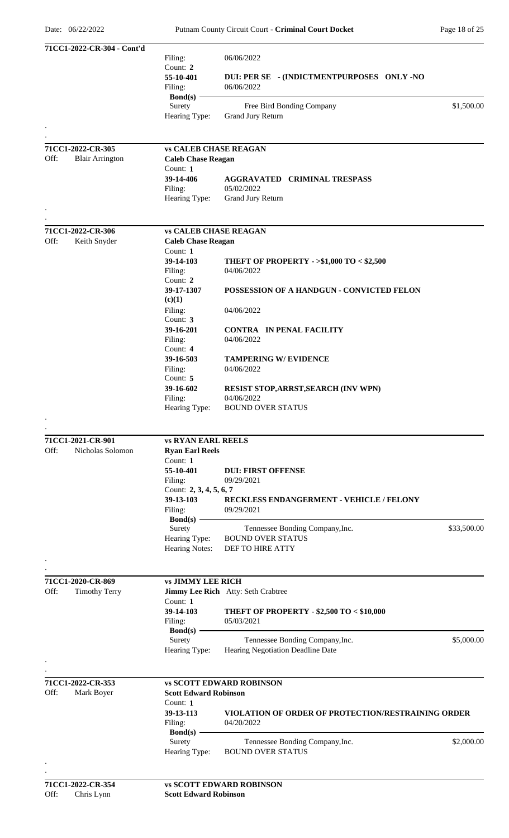| 71CC1-2022-CR-304 - Cont'd                    |                                        |                                                                   |             |
|-----------------------------------------------|----------------------------------------|-------------------------------------------------------------------|-------------|
|                                               | Filing:<br>Count: 2                    | 06/06/2022                                                        |             |
|                                               | 55-10-401<br>Filing:                   | DUI: PER SE - (INDICTMENTPURPOSES ONLY -NO<br>06/06/2022          |             |
|                                               | $Bond(s)$ –<br>Surety<br>Hearing Type: | Free Bird Bonding Company<br>Grand Jury Return                    | \$1,500.00  |
|                                               |                                        |                                                                   |             |
| 71CC1-2022-CR-305                             | <b>vs CALEB CHASE REAGAN</b>           |                                                                   |             |
| Off:<br><b>Blair Arrington</b>                | <b>Caleb Chase Reagan</b>              |                                                                   |             |
|                                               | Count: 1                               |                                                                   |             |
|                                               | 39-14-406                              | <b>AGGRAVATED CRIMINAL TRESPASS</b>                               |             |
|                                               | Filing:<br>Hearing Type:               | 05/02/2022<br>Grand Jury Return                                   |             |
|                                               |                                        |                                                                   |             |
| 71CC1-2022-CR-306                             | <b>vs CALEB CHASE REAGAN</b>           |                                                                   |             |
| Off:<br>Keith Snyder                          | <b>Caleb Chase Reagan</b>              |                                                                   |             |
|                                               | Count: 1                               |                                                                   |             |
|                                               | 39-14-103                              | THEFT OF PROPERTY - >\$1,000 TO < \$2,500                         |             |
|                                               | Filing:<br>Count: 2                    | 04/06/2022                                                        |             |
|                                               | 39-17-1307                             | POSSESSION OF A HANDGUN - CONVICTED FELON                         |             |
|                                               | (c)(1)                                 |                                                                   |             |
|                                               | Filing:                                | 04/06/2022                                                        |             |
|                                               | Count: 3                               |                                                                   |             |
|                                               | 39-16-201                              | <b>CONTRA IN PENAL FACILITY</b><br>04/06/2022                     |             |
|                                               | Filing:<br>Count: 4                    |                                                                   |             |
|                                               | 39-16-503                              | <b>TAMPERING W/ EVIDENCE</b>                                      |             |
|                                               | Filing:                                | 04/06/2022                                                        |             |
|                                               | Count: 5                               |                                                                   |             |
|                                               | 39-16-602<br>Filing:                   | RESIST STOP, ARRST, SEARCH (INV WPN)<br>04/06/2022                |             |
|                                               | Hearing Type:                          | <b>BOUND OVER STATUS</b>                                          |             |
|                                               |                                        |                                                                   |             |
|                                               | <b>vs RYAN EARL REELS</b>              |                                                                   |             |
| 71CC1-2021-CR-901<br>Off:<br>Nicholas Solomon | <b>Ryan Earl Reels</b>                 |                                                                   |             |
|                                               | Count: 1                               |                                                                   |             |
|                                               | 55-10-401                              | <b>DUI: FIRST OFFENSE</b>                                         |             |
|                                               | Filing:                                | 09/29/2021                                                        |             |
|                                               | Count: 2, 3, 4, 5, 6, 7                |                                                                   |             |
|                                               | 39-13-103<br>Filing:                   | RECKLESS ENDANGERMENT - VEHICLE / FELONY<br>09/29/2021            |             |
|                                               | $Bond(s)$ –                            |                                                                   |             |
|                                               | Surety                                 | Tennessee Bonding Company, Inc.                                   | \$33,500.00 |
|                                               | Hearing Type:                          | <b>BOUND OVER STATUS</b>                                          |             |
|                                               | <b>Hearing Notes:</b>                  | DEF TO HIRE ATTY                                                  |             |
|                                               |                                        |                                                                   |             |
| 71CC1-2020-CR-869                             | <b>vs JIMMY LEE RICH</b>               |                                                                   |             |
| Off:<br><b>Timothy Terry</b>                  |                                        | Jimmy Lee Rich Atty: Seth Crabtree                                |             |
|                                               | Count: 1                               |                                                                   |             |
|                                               | 39-14-103<br>Filing:                   | <b>THEFT OF PROPERTY - \$2,500 TO &lt; \$10,000</b><br>05/03/2021 |             |
|                                               | $Bond(s)$ –                            |                                                                   |             |
|                                               | Surety                                 | Tennessee Bonding Company, Inc.                                   | \$5,000.00  |
|                                               | Hearing Type:                          | Hearing Negotiation Deadline Date                                 |             |
|                                               |                                        |                                                                   |             |
| 71CC1-2022-CR-353                             |                                        | <b>vs SCOTT EDWARD ROBINSON</b>                                   |             |
| Off:<br>Mark Boyer                            | <b>Scott Edward Robinson</b>           |                                                                   |             |
|                                               | Count: 1                               |                                                                   |             |
|                                               | 39-13-113<br>Filing:                   | VIOLATION OF ORDER OF PROTECTION/RESTRAINING ORDER<br>04/20/2022  |             |
|                                               | $Bond(s)$ .                            |                                                                   |             |
|                                               | Surety                                 | Tennessee Bonding Company, Inc.                                   | \$2,000.00  |
|                                               | Hearing Type:                          | <b>BOUND OVER STATUS</b>                                          |             |
|                                               |                                        |                                                                   |             |
| 71CC1-2022-CR-354                             |                                        | <b>vs SCOTT EDWARD ROBINSON</b>                                   |             |
| Off:<br>Chris Lynn                            | <b>Scott Edward Robinson</b>           |                                                                   |             |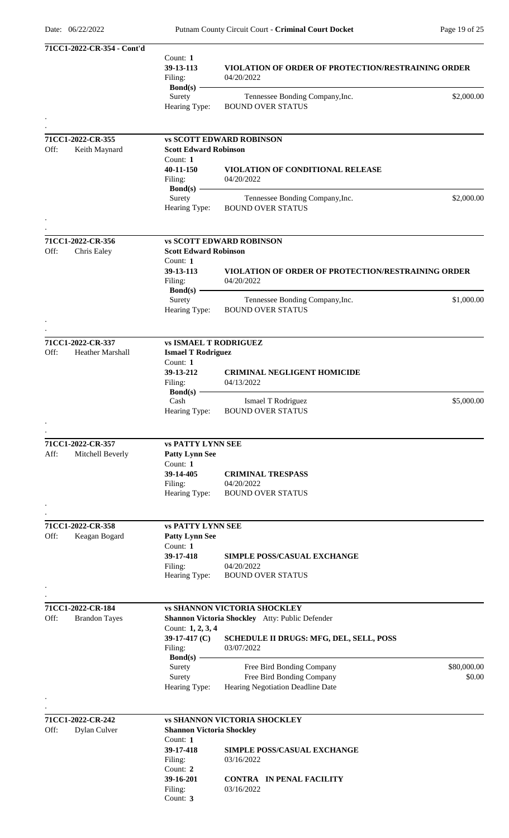| 71CC1-2022-CR-354 - Cont'd      |                                  |                                                           |             |
|---------------------------------|----------------------------------|-----------------------------------------------------------|-------------|
|                                 | Count: 1                         |                                                           |             |
|                                 | 39-13-113                        | <b>VIOLATION OF ORDER OF PROTECTION/RESTRAINING ORDER</b> |             |
|                                 | Filing:                          | 04/20/2022                                                |             |
|                                 | Bond $(s)$ -                     |                                                           |             |
|                                 | Surety                           | Tennessee Bonding Company, Inc.                           | \$2,000.00  |
|                                 | Hearing Type:                    | <b>BOUND OVER STATUS</b>                                  |             |
|                                 |                                  |                                                           |             |
|                                 |                                  |                                                           |             |
| 71CC1-2022-CR-355               |                                  | <b>vs SCOTT EDWARD ROBINSON</b>                           |             |
| Off:<br>Keith Maynard           | <b>Scott Edward Robinson</b>     |                                                           |             |
|                                 | Count: 1                         |                                                           |             |
|                                 | 40-11-150                        | VIOLATION OF CONDITIONAL RELEASE                          |             |
|                                 | Filing:                          | 04/20/2022                                                |             |
|                                 | $Bond(s)$ –                      |                                                           |             |
|                                 | Surety                           | Tennessee Bonding Company, Inc.                           | \$2,000.00  |
|                                 | Hearing Type:                    | <b>BOUND OVER STATUS</b>                                  |             |
|                                 |                                  |                                                           |             |
|                                 |                                  |                                                           |             |
| 71CC1-2022-CR-356               |                                  | <b>vs SCOTT EDWARD ROBINSON</b>                           |             |
| Off:<br>Chris Ealey             | <b>Scott Edward Robinson</b>     |                                                           |             |
|                                 | Count: 1                         |                                                           |             |
|                                 | 39-13-113                        | <b>VIOLATION OF ORDER OF PROTECTION/RESTRAINING ORDER</b> |             |
|                                 | Filing:                          | 04/20/2022                                                |             |
|                                 | $Bond(s)$ –                      |                                                           |             |
|                                 | Surety                           | Tennessee Bonding Company, Inc.                           | \$1,000.00  |
|                                 | Hearing Type:                    | <b>BOUND OVER STATUS</b>                                  |             |
|                                 |                                  |                                                           |             |
|                                 |                                  |                                                           |             |
| 71CC1-2022-CR-337               | <b>vs ISMAEL T RODRIGUEZ</b>     |                                                           |             |
| Off:<br><b>Heather Marshall</b> | <b>Ismael T Rodriguez</b>        |                                                           |             |
|                                 | Count: 1                         |                                                           |             |
|                                 | 39-13-212                        | <b>CRIMINAL NEGLIGENT HOMICIDE</b>                        |             |
|                                 | Filing:                          | 04/13/2022                                                |             |
|                                 | Bond(s) $-$                      |                                                           |             |
|                                 | Cash                             | Ismael T Rodriguez                                        | \$5,000.00  |
|                                 | Hearing Type:                    | <b>BOUND OVER STATUS</b>                                  |             |
|                                 |                                  |                                                           |             |
|                                 |                                  |                                                           |             |
| 71CC1-2022-CR-357               | <b>vs PATTY LYNN SEE</b>         |                                                           |             |
| Aff:<br>Mitchell Beverly        | <b>Patty Lynn See</b>            |                                                           |             |
|                                 | Count: 1                         |                                                           |             |
|                                 | 39-14-405                        | <b>CRIMINAL TRESPASS</b>                                  |             |
|                                 | Filing:                          | 04/20/2022                                                |             |
|                                 | Hearing Type:                    | <b>BOUND OVER STATUS</b>                                  |             |
|                                 |                                  |                                                           |             |
|                                 |                                  |                                                           |             |
|                                 |                                  |                                                           |             |
| 71CC1-2022-CR-358               | <b>vs PATTY LYNN SEE</b>         |                                                           |             |
| Off:<br>Keagan Bogard           | <b>Patty Lynn See</b>            |                                                           |             |
|                                 | Count: 1                         |                                                           |             |
|                                 | 39-17-418                        | SIMPLE POSS/CASUAL EXCHANGE                               |             |
|                                 | Filing:                          | 04/20/2022                                                |             |
|                                 | Hearing Type:                    | <b>BOUND OVER STATUS</b>                                  |             |
|                                 |                                  |                                                           |             |
|                                 |                                  |                                                           |             |
| 71CC1-2022-CR-184               |                                  | <b>vs SHANNON VICTORIA SHOCKLEY</b>                       |             |
| Off:<br><b>Brandon Tayes</b>    |                                  | Shannon Victoria Shockley Atty: Public Defender           |             |
|                                 | Count: 1, 2, 3, 4                |                                                           |             |
|                                 | 39-17-417 $(C)$                  | <b>SCHEDULE II DRUGS: MFG, DEL, SELL, POSS</b>            |             |
|                                 | Filing:                          | 03/07/2022                                                |             |
|                                 | $Bond(s)$ –                      |                                                           |             |
|                                 | Surety                           | Free Bird Bonding Company                                 | \$80,000.00 |
|                                 | Surety                           | Free Bird Bonding Company                                 | \$0.00      |
|                                 | Hearing Type:                    | Hearing Negotiation Deadline Date                         |             |
|                                 |                                  |                                                           |             |
|                                 |                                  |                                                           |             |
| 71CC1-2022-CR-242               |                                  | <b>vs SHANNON VICTORIA SHOCKLEY</b>                       |             |
| Off:<br><b>Dylan Culver</b>     | <b>Shannon Victoria Shockley</b> |                                                           |             |
|                                 | Count: 1                         |                                                           |             |
|                                 | 39-17-418                        | <b>SIMPLE POSS/CASUAL EXCHANGE</b>                        |             |
|                                 | Filing:                          | 03/16/2022                                                |             |
|                                 | Count: 2                         |                                                           |             |
|                                 | 39-16-201                        | <b>CONTRA IN PENAL FACILITY</b>                           |             |
|                                 | Filing:                          | 03/16/2022                                                |             |
|                                 | Count: 3                         |                                                           |             |
|                                 |                                  |                                                           |             |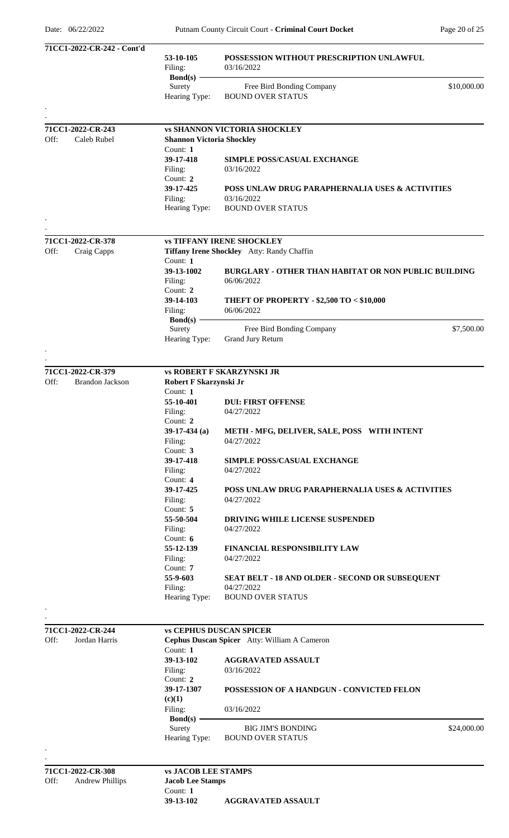| 71CC1-2022-CR-242 - Cont'd               |                                     |                                                                                |
|------------------------------------------|-------------------------------------|--------------------------------------------------------------------------------|
|                                          | 53-10-105<br>Filing:<br>$Bond(s)$ – | POSSESSION WITHOUT PRESCRIPTION UNLAWFUL<br>03/16/2022                         |
|                                          | Surety<br>Hearing Type:             | \$10,000.00<br>Free Bird Bonding Company<br><b>BOUND OVER STATUS</b>           |
|                                          |                                     |                                                                                |
| 71CC1-2022-CR-243                        |                                     | <b>vs SHANNON VICTORIA SHOCKLEY</b>                                            |
| Off:<br>Caleb Rubel                      | <b>Shannon Victoria Shockley</b>    |                                                                                |
|                                          | Count: $1$                          |                                                                                |
|                                          | 39-17-418                           | <b>SIMPLE POSS/CASUAL EXCHANGE</b>                                             |
|                                          | Filing:<br>Count: 2                 | 03/16/2022                                                                     |
|                                          | 39-17-425                           | POSS UNLAW DRUG PARAPHERNALIA USES & ACTIVITIES                                |
|                                          | Filing:                             | 03/16/2022                                                                     |
|                                          | Hearing Type:                       | <b>BOUND OVER STATUS</b>                                                       |
|                                          |                                     |                                                                                |
|                                          |                                     |                                                                                |
| 71CC1-2022-CR-378<br>Off:<br>Craig Capps |                                     | <b>vs TIFFANY IRENE SHOCKLEY</b><br>Tiffany Irene Shockley Atty: Randy Chaffin |
|                                          | Count: $1$                          |                                                                                |
|                                          | 39-13-1002                          | <b>BURGLARY - OTHER THAN HABITAT OR NON PUBLIC BUILDING</b>                    |
|                                          | Filing:                             | 06/06/2022                                                                     |
|                                          | Count: 2                            |                                                                                |
|                                          | 39-14-103                           | THEFT OF PROPERTY - \$2,500 TO < \$10,000                                      |
|                                          | Filing:<br>$Bond(s)$ –              | 06/06/2022                                                                     |
|                                          | Surety                              | \$7,500.00<br>Free Bird Bonding Company                                        |
|                                          | Hearing Type:                       | Grand Jury Return                                                              |
|                                          |                                     |                                                                                |
|                                          |                                     |                                                                                |
| 71CC1-2022-CR-379                        |                                     | <b>vs ROBERT F SKARZYNSKI JR</b>                                               |
| Off:<br><b>Brandon Jackson</b>           | Robert F Skarzynski Jr<br>Count: 1  |                                                                                |
|                                          | 55-10-401                           | <b>DUI: FIRST OFFENSE</b>                                                      |
|                                          | Filing:                             | 04/27/2022                                                                     |
|                                          | Count: 2                            |                                                                                |
|                                          | $39-17-434$ (a)                     | METH - MFG, DELIVER, SALE, POSS WITH INTENT                                    |
|                                          | Filing:                             | 04/27/2022                                                                     |
|                                          | Count: 3<br>39-17-418               |                                                                                |
|                                          | Filing:                             | <b>SIMPLE POSS/CASUAL EXCHANGE</b><br>04/27/2022                               |
|                                          | Count: 4                            |                                                                                |
|                                          | 39-17-425                           | <b>POSS UNLAW DRUG PARAPHERNALIA USES &amp; ACTIVITIES</b>                     |
|                                          | Filing:                             | 04/27/2022                                                                     |
|                                          | Count: 5<br>55-50-504               |                                                                                |
|                                          | Filing:                             | <b>DRIVING WHILE LICENSE SUSPENDED</b><br>04/27/2022                           |
|                                          | Count: $6$                          |                                                                                |
|                                          | 55-12-139                           | <b>FINANCIAL RESPONSIBILITY LAW</b>                                            |
|                                          | Filing:                             | 04/27/2022                                                                     |
|                                          | Count: 7<br>55-9-603                |                                                                                |
|                                          | Filing:                             | SEAT BELT - 18 AND OLDER - SECOND OR SUBSEQUENT<br>04/27/2022                  |
|                                          | Hearing Type:                       | <b>BOUND OVER STATUS</b>                                                       |
|                                          |                                     |                                                                                |
|                                          |                                     |                                                                                |
| 71CC1-2022-CR-244                        |                                     | <b>vs CEPHUS DUSCAN SPICER</b>                                                 |
| Off:<br>Jordan Harris                    |                                     | Cephus Duscan Spicer Atty: William A Cameron                                   |
|                                          | Count: 1<br>39-13-102               | <b>AGGRAVATED ASSAULT</b>                                                      |
|                                          | Filing:                             | 03/16/2022                                                                     |
|                                          | Count: 2                            |                                                                                |
|                                          | 39-17-1307                          | POSSESSION OF A HANDGUN - CONVICTED FELON                                      |
|                                          | (c)(1)                              |                                                                                |
|                                          | Filing:                             | 03/16/2022                                                                     |
|                                          | $Bond(s)$ –<br>Surety               | <b>BIG JIM'S BONDING</b><br>\$24,000.00                                        |
|                                          | Hearing Type:                       | <b>BOUND OVER STATUS</b>                                                       |
|                                          |                                     |                                                                                |
|                                          |                                     |                                                                                |
| 71CC1-2022-CR-308                        | <b>vs JACOB LEE STAMPS</b>          |                                                                                |
| Off:<br><b>Andrew Phillips</b>           | <b>Jacob Lee Stamps</b>             |                                                                                |
|                                          | Count: $1$                          |                                                                                |

**39-13-102 AGGRAVATED ASSAULT**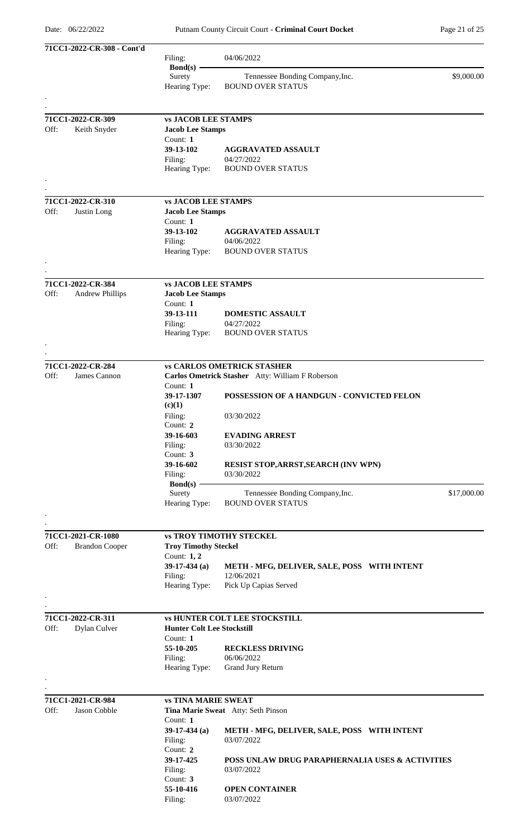| 71CC1-2022-CR-308 - Cont'd |                                             | Filing:<br>$Bond(s)$ –                                            | 04/06/2022                                                                                    |             |
|----------------------------|---------------------------------------------|-------------------------------------------------------------------|-----------------------------------------------------------------------------------------------|-------------|
|                            |                                             | Surety<br>Hearing Type:                                           | Tennessee Bonding Company, Inc.<br><b>BOUND OVER STATUS</b>                                   | \$9,000.00  |
|                            |                                             |                                                                   |                                                                                               |             |
| Off:                       | 71CC1-2022-CR-309<br>Keith Snyder           | <b>vs JACOB LEE STAMPS</b><br><b>Jacob Lee Stamps</b><br>Count: 1 |                                                                                               |             |
|                            |                                             | 39-13-102<br>Filing:<br>Hearing Type:                             | <b>AGGRAVATED ASSAULT</b><br>04/27/2022<br><b>BOUND OVER STATUS</b>                           |             |
|                            |                                             |                                                                   |                                                                                               |             |
|                            | 71CC1-2022-CR-310                           | <b>vs JACOB LEE STAMPS</b>                                        |                                                                                               |             |
| Off:                       | Justin Long                                 | <b>Jacob Lee Stamps</b><br>Count: 1                               |                                                                                               |             |
|                            |                                             | 39-13-102<br>Filing:<br>Hearing Type:                             | <b>AGGRAVATED ASSAULT</b><br>04/06/2022<br><b>BOUND OVER STATUS</b>                           |             |
|                            |                                             |                                                                   |                                                                                               |             |
| Off:                       | 71CC1-2022-CR-384<br><b>Andrew Phillips</b> | <b>vs JACOB LEE STAMPS</b><br><b>Jacob Lee Stamps</b><br>Count: 1 |                                                                                               |             |
|                            |                                             | 39-13-111<br>Filing:                                              | <b>DOMESTIC ASSAULT</b><br>04/27/2022                                                         |             |
|                            |                                             | Hearing Type:                                                     | <b>BOUND OVER STATUS</b>                                                                      |             |
| Off:                       | 71CC1-2022-CR-284<br>James Cannon           |                                                                   | <b>vs CARLOS OMETRICK STASHER</b>                                                             |             |
|                            |                                             | Count: 1<br>39-17-1307                                            | Carlos Ometrick Stasher Atty: William F Roberson<br>POSSESSION OF A HANDGUN - CONVICTED FELON |             |
|                            |                                             | (c)(1)<br>Filing:<br>Count: 2                                     | 03/30/2022                                                                                    |             |
|                            |                                             | 39-16-603<br>Filing:<br>Count: 3                                  | <b>EVADING ARREST</b><br>03/30/2022                                                           |             |
|                            |                                             | 39-16-602<br>Filing:                                              | RESIST STOP, ARRST, SEARCH (INV WPN)<br>03/30/2022                                            |             |
|                            |                                             | $Bond(s)$ -<br>Surety<br>Hearing Type:                            | Tennessee Bonding Company, Inc.<br><b>BOUND OVER STATUS</b>                                   | \$17,000.00 |
|                            |                                             |                                                                   |                                                                                               |             |
| Off:                       | 71CC1-2021-CR-1080<br><b>Brandon Cooper</b> | <b>Troy Timothy Steckel</b><br>Count: $1, 2$                      | <b>vs TROY TIMOTHY STECKEL</b>                                                                |             |
|                            |                                             | $39-17-434$ (a)<br>Filing:                                        | METH - MFG, DELIVER, SALE, POSS WITH INTENT<br>12/06/2021                                     |             |
|                            |                                             | Hearing Type:                                                     | Pick Up Capias Served                                                                         |             |
| Off:                       | 71CC1-2022-CR-311<br>Dylan Culver           | <b>Hunter Colt Lee Stockstill</b>                                 | <b>vs HUNTER COLT LEE STOCKSTILL</b>                                                          |             |
|                            |                                             | Count: 1<br>55-10-205<br>Filing:                                  | <b>RECKLESS DRIVING</b><br>06/06/2022                                                         |             |
|                            |                                             | Hearing Type:                                                     | Grand Jury Return                                                                             |             |
|                            | 71CC1-2021-CR-984                           | <b>vs TINA MARIE SWEAT</b>                                        |                                                                                               |             |
| Off:                       | Jason Cobble                                | Count: 1                                                          | Tina Marie Sweat Atty: Seth Pinson                                                            |             |
|                            |                                             | $39-17-434$ (a)<br>Filing:<br>Count: 2                            | METH - MFG, DELIVER, SALE, POSS WITH INTENT<br>03/07/2022                                     |             |
|                            |                                             | 39-17-425<br>Filing:<br>Count: 3                                  | POSS UNLAW DRUG PARAPHERNALIA USES & ACTIVITIES<br>03/07/2022                                 |             |
|                            |                                             | 55-10-416<br>Filing:                                              | <b>OPEN CONTAINER</b><br>03/07/2022                                                           |             |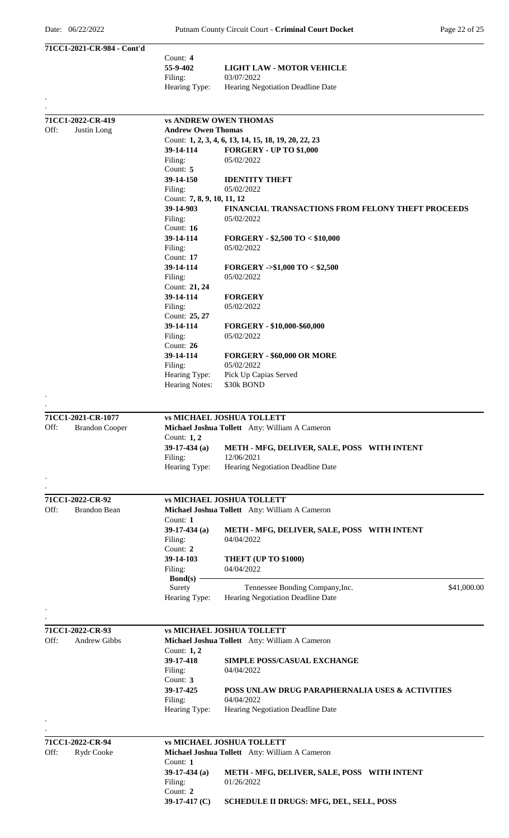|      | 71CC1-2021-CR-984 - Cont'd |                                         |                                                          |
|------|----------------------------|-----------------------------------------|----------------------------------------------------------|
|      |                            | Count: 4                                |                                                          |
|      |                            | 55-9-402                                | <b>LIGHT LAW - MOTOR VEHICLE</b>                         |
|      |                            | Filing:                                 | 03/07/2022                                               |
|      |                            | Hearing Type:                           | Hearing Negotiation Deadline Date                        |
|      |                            |                                         |                                                          |
|      | 71CC1-2022-CR-419          |                                         | <b>vs ANDREW OWEN THOMAS</b>                             |
| Off: | Justin Long                | <b>Andrew Owen Thomas</b>               |                                                          |
|      |                            |                                         | Count: 1, 2, 3, 4, 6, 13, 14, 15, 18, 19, 20, 22, 23     |
|      |                            | 39-14-114                               | <b>FORGERY - UP TO \$1,000</b>                           |
|      |                            | Filing:                                 | 05/02/2022                                               |
|      |                            | Count: 5                                |                                                          |
|      |                            | 39-14-150                               | <b>IDENTITY THEFT</b>                                    |
|      |                            | Filing:                                 | 05/02/2022                                               |
|      |                            | Count: 7, 8, 9, 10, 11, 12<br>39-14-903 | <b>FINANCIAL TRANSACTIONS FROM FELONY THEFT PROCEEDS</b> |
|      |                            | Filing:                                 | 05/02/2022                                               |
|      |                            | Count: $16$                             |                                                          |
|      |                            | 39-14-114                               | FORGERY - \$2,500 TO < \$10,000                          |
|      |                            | Filing:                                 | 05/02/2022                                               |
|      |                            | Count: $17$                             |                                                          |
|      |                            | 39-14-114                               | <b>FORGERY -&gt;\$1,000 TO &lt; \$2,500</b>              |
|      |                            | Filing:                                 | 05/02/2022                                               |
|      |                            | Count: 21, 24                           |                                                          |
|      |                            | 39-14-114                               | <b>FORGERY</b>                                           |
|      |                            | Filing:<br>Count: 25, 27                | 05/02/2022                                               |
|      |                            | 39-14-114                               | FORGERY - \$10,000-\$60,000                              |
|      |                            | Filing:                                 | 05/02/2022                                               |
|      |                            | Count: 26                               |                                                          |
|      |                            | 39-14-114                               | FORGERY - \$60,000 OR MORE                               |
|      |                            | Filing:                                 | 05/02/2022                                               |
|      |                            | Hearing Type:                           | Pick Up Capias Served                                    |
|      |                            | <b>Hearing Notes:</b>                   | \$30k BOND                                               |
|      |                            |                                         |                                                          |
|      |                            |                                         |                                                          |
|      | 71CC1-2021-CR-1077         |                                         | <b>vs MICHAEL JOSHUA TOLLETT</b>                         |
| Off: | <b>Brandon Cooper</b>      | Count: 1, 2                             | Michael Joshua Tollett Atty: William A Cameron           |
|      |                            | $39-17-434$ (a)                         | METH - MFG, DELIVER, SALE, POSS WITH INTENT              |
|      |                            | Filing:                                 | 12/06/2021                                               |
|      |                            | Hearing Type:                           | Hearing Negotiation Deadline Date                        |
|      |                            |                                         |                                                          |
|      |                            |                                         |                                                          |
|      | 71CC1-2022-CR-92           |                                         | <b>vs MICHAEL JOSHUA TOLLETT</b>                         |
| Off: | <b>Brandon Bean</b>        |                                         | Michael Joshua Tollett Atty: William A Cameron           |
|      |                            | Count: 1                                |                                                          |
|      |                            | $39-17-434$ (a)                         | METH - MFG, DELIVER, SALE, POSS WITH INTENT              |
|      |                            | Filing:                                 | 04/04/2022                                               |
|      |                            | Count: 2                                |                                                          |
|      |                            | 39-14-103                               | THEFT (UP TO \$1000)<br>04/04/2022                       |
|      |                            | Filing:<br>Bond(s) $-$                  |                                                          |
|      |                            | Surety                                  | \$41,000.00<br>Tennessee Bonding Company, Inc.           |
|      |                            | Hearing Type:                           | Hearing Negotiation Deadline Date                        |
|      |                            |                                         |                                                          |
|      |                            |                                         |                                                          |
|      | 71CC1-2022-CR-93           |                                         | <b>vs MICHAEL JOSHUA TOLLETT</b>                         |
| Off: | Andrew Gibbs               |                                         | Michael Joshua Tollett Atty: William A Cameron           |
|      |                            | Count: 1, 2                             |                                                          |
|      |                            | 39-17-418                               | <b>SIMPLE POSS/CASUAL EXCHANGE</b>                       |
|      |                            | Filing:                                 | 04/04/2022                                               |
|      |                            | Count: $3$<br>39-17-425                 | POSS UNLAW DRUG PARAPHERNALIA USES & ACTIVITIES          |
|      |                            | Filing:                                 | 04/04/2022                                               |
|      |                            | Hearing Type:                           | Hearing Negotiation Deadline Date                        |
|      |                            |                                         |                                                          |
|      |                            |                                         |                                                          |
|      | 71CC1-2022-CR-94           |                                         | <b>vs MICHAEL JOSHUA TOLLETT</b>                         |
| Off: | Rydr Cooke                 |                                         | Michael Joshua Tollett Atty: William A Cameron           |
|      |                            | Count: 1                                | METH - MFG, DELIVER, SALE, POSS WITH INTENT              |
|      |                            | $39-17-434$ (a)<br>Filing:              | 01/26/2022                                               |
|      |                            | Count: 2                                |                                                          |
|      |                            | 39-17-417 (C)                           | <b>SCHEDULE II DRUGS: MFG, DEL, SELL, POSS</b>           |
|      |                            |                                         |                                                          |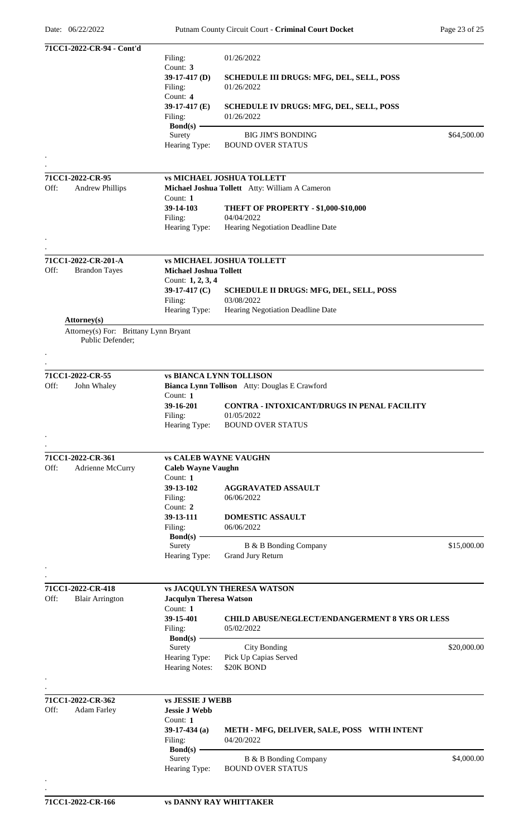|      | 71CC1-2022-CR-94 - Cont'd             |                                |                                                              |             |
|------|---------------------------------------|--------------------------------|--------------------------------------------------------------|-------------|
|      |                                       | Filing:                        | 01/26/2022                                                   |             |
|      |                                       | Count: 3                       |                                                              |             |
|      |                                       | $39-17-417$ (D)                | <b>SCHEDULE III DRUGS: MFG, DEL, SELL, POSS</b>              |             |
|      |                                       | Filing:                        | 01/26/2022                                                   |             |
|      |                                       | Count: 4<br>39-17-417 (E)      |                                                              |             |
|      |                                       | Filing:                        | <b>SCHEDULE IV DRUGS: MFG, DEL, SELL, POSS</b><br>01/26/2022 |             |
|      |                                       | <b>Bond(s)</b>                 |                                                              |             |
|      |                                       | Surety                         | <b>BIG JIM'S BONDING</b>                                     | \$64,500.00 |
|      |                                       | Hearing Type:                  | <b>BOUND OVER STATUS</b>                                     |             |
|      |                                       |                                |                                                              |             |
|      |                                       |                                |                                                              |             |
|      | 71CC1-2022-CR-95                      |                                | <b>vs MICHAEL JOSHUA TOLLETT</b>                             |             |
| Off: | <b>Andrew Phillips</b>                |                                | Michael Joshua Tollett Atty: William A Cameron               |             |
|      |                                       | Count: 1                       |                                                              |             |
|      |                                       | 39-14-103                      | THEFT OF PROPERTY - \$1,000-\$10,000                         |             |
|      |                                       | Filing:                        | 04/04/2022                                                   |             |
|      |                                       | Hearing Type:                  | Hearing Negotiation Deadline Date                            |             |
|      |                                       |                                |                                                              |             |
|      | 71CC1-2022-CR-201-A                   |                                | <b>vs MICHAEL JOSHUA TOLLETT</b>                             |             |
| Off: | <b>Brandon Tayes</b>                  | <b>Michael Joshua Tollett</b>  |                                                              |             |
|      |                                       | Count: 1, 2, 3, 4              |                                                              |             |
|      |                                       | 39-17-417 (C)                  | <b>SCHEDULE II DRUGS: MFG, DEL, SELL, POSS</b>               |             |
|      |                                       | Filing:                        | 03/08/2022                                                   |             |
|      |                                       | Hearing Type:                  | Hearing Negotiation Deadline Date                            |             |
|      | <b>Attorney</b> (s)                   |                                |                                                              |             |
|      | Attorney(s) For: Brittany Lynn Bryant |                                |                                                              |             |
|      | Public Defender;                      |                                |                                                              |             |
|      |                                       |                                |                                                              |             |
|      |                                       |                                |                                                              |             |
|      | 71CC1-2022-CR-55                      |                                | <b>vs BIANCA LYNN TOLLISON</b>                               |             |
| Off: | John Whaley                           |                                | Bianca Lynn Tollison Atty: Douglas E Crawford                |             |
|      |                                       | Count: $1$                     |                                                              |             |
|      |                                       | 39-16-201                      | <b>CONTRA - INTOXICANT/DRUGS IN PENAL FACILITY</b>           |             |
|      |                                       | Filing:                        | 01/05/2022                                                   |             |
|      |                                       | Hearing Type:                  | <b>BOUND OVER STATUS</b>                                     |             |
|      |                                       |                                |                                                              |             |
|      | 71CC1-2022-CR-361                     | <b>vs CALEB WAYNE VAUGHN</b>   |                                                              |             |
| Off: | Adrienne McCurry                      | <b>Caleb Wayne Vaughn</b>      |                                                              |             |
|      |                                       | Count: 1                       |                                                              |             |
|      |                                       | 39-13-102                      | <b>AGGRAVATED ASSAULT</b>                                    |             |
|      |                                       | Filing:                        | 06/06/2022                                                   |             |
|      |                                       | Count: 2                       |                                                              |             |
|      |                                       | 39-13-111                      | <b>DOMESTIC ASSAULT</b>                                      |             |
|      |                                       | Filing:                        | 06/06/2022                                                   |             |
|      |                                       | Bond(s) $-$                    |                                                              |             |
|      |                                       | Surety                         | B & B Bonding Company                                        | \$15,000.00 |
|      |                                       | Hearing Type:                  | Grand Jury Return                                            |             |
|      |                                       |                                |                                                              |             |
|      | 71CC1-2022-CR-418                     |                                |                                                              |             |
| Off: | <b>Blair Arrington</b>                | <b>Jacqulyn Theresa Watson</b> | <b>vs JACQULYN THERESA WATSON</b>                            |             |
|      |                                       | Count: 1                       |                                                              |             |
|      |                                       | 39-15-401                      | <b>CHILD ABUSE/NEGLECT/ENDANGERMENT 8 YRS OR LESS</b>        |             |
|      |                                       | Filing:                        | 05/02/2022                                                   |             |
|      |                                       | $Bond(s)$ –                    |                                                              |             |
|      |                                       | Surety                         | <b>City Bonding</b>                                          | \$20,000.00 |
|      |                                       | Hearing Type:                  | Pick Up Capias Served                                        |             |
|      |                                       | Hearing Notes:                 | \$20K BOND                                                   |             |
|      |                                       |                                |                                                              |             |
|      |                                       |                                |                                                              |             |
|      | 71CC1-2022-CR-362                     | <b>vs JESSIE J WEBB</b>        |                                                              |             |
| Off: | <b>Adam Farley</b>                    | <b>Jessie J Webb</b>           |                                                              |             |
|      |                                       | Count: 1                       |                                                              |             |
|      |                                       | $39-17-434$ (a)                | METH - MFG, DELIVER, SALE, POSS WITH INTENT                  |             |
|      |                                       | Filing:                        | 04/20/2022                                                   |             |
|      |                                       | $Bond(s) -$<br>Surety          | B & B Bonding Company                                        | \$4,000.00  |
|      |                                       | Hearing Type:                  | <b>BOUND OVER STATUS</b>                                     |             |
|      |                                       |                                |                                                              |             |
|      |                                       |                                |                                                              |             |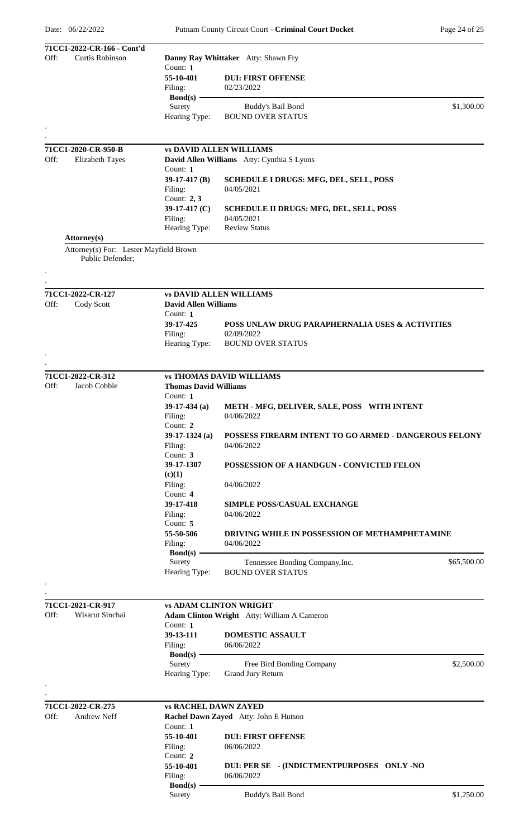| Off: | 71CC1-2022-CR-166 - Cont'd<br>Curtis Robinson              |                              | Danny Ray Whittaker Atty: Shawn Fry                                 |             |
|------|------------------------------------------------------------|------------------------------|---------------------------------------------------------------------|-------------|
|      |                                                            | Count: 1                     |                                                                     |             |
|      |                                                            | 55-10-401                    | <b>DUI: FIRST OFFENSE</b>                                           |             |
|      |                                                            | Filing:                      | 02/23/2022                                                          |             |
|      |                                                            | $Bond(s)$ –<br>Surety        | Buddy's Bail Bond                                                   | \$1,300.00  |
|      |                                                            | Hearing Type:                | <b>BOUND OVER STATUS</b>                                            |             |
|      |                                                            |                              |                                                                     |             |
|      |                                                            |                              |                                                                     |             |
|      | 71CC1-2020-CR-950-B                                        |                              | <b>vs DAVID ALLEN WILLIAMS</b>                                      |             |
| Off: | <b>Elizabeth Tayes</b>                                     |                              | David Allen Williams Atty: Cynthia S Lyons                          |             |
|      |                                                            | Count: 1                     |                                                                     |             |
|      |                                                            | 39-17-417 (B)                | SCHEDULE I DRUGS: MFG, DEL, SELL, POSS                              |             |
|      |                                                            | Filing:<br>Count: 2, 3       | 04/05/2021                                                          |             |
|      |                                                            | 39-17-417 $(C)$              | SCHEDULE II DRUGS: MFG, DEL, SELL, POSS                             |             |
|      |                                                            | Filing:                      | 04/05/2021                                                          |             |
|      |                                                            | Hearing Type:                | <b>Review Status</b>                                                |             |
|      | Attorney(s)                                                |                              |                                                                     |             |
|      | Attorney(s) For: Lester Mayfield Brown<br>Public Defender; |                              |                                                                     |             |
|      |                                                            |                              |                                                                     |             |
|      |                                                            |                              |                                                                     |             |
|      | 71CC1-2022-CR-127                                          |                              | <b>vs DAVID ALLEN WILLIAMS</b>                                      |             |
| Off: | Cody Scott                                                 | <b>David Allen Williams</b>  |                                                                     |             |
|      |                                                            | Count: 1                     |                                                                     |             |
|      |                                                            | 39-17-425                    | POSS UNLAW DRUG PARAPHERNALIA USES & ACTIVITIES                     |             |
|      |                                                            | Filing:                      | 02/09/2022                                                          |             |
|      |                                                            | Hearing Type:                | BOUND OVER STATUS                                                   |             |
|      |                                                            |                              |                                                                     |             |
|      | 71CC1-2022-CR-312                                          |                              | <b>vs THOMAS DAVID WILLIAMS</b>                                     |             |
| Off: | Jacob Cobble                                               | <b>Thomas David Williams</b> |                                                                     |             |
|      |                                                            | Count: 1                     |                                                                     |             |
|      |                                                            | $39-17-434$ (a)              | METH - MFG, DELIVER, SALE, POSS WITH INTENT                         |             |
|      |                                                            | Filing:                      | 04/06/2022                                                          |             |
|      |                                                            | Count: 2                     |                                                                     |             |
|      |                                                            | $39-17-1324$ (a)             | POSSESS FIREARM INTENT TO GO ARMED - DANGEROUS FELONY<br>04/06/2022 |             |
|      |                                                            | Filing:<br>Count: 3          |                                                                     |             |
|      |                                                            | 39-17-1307                   | POSSESSION OF A HANDGUN - CONVICTED FELON                           |             |
|      |                                                            | (c)(1)                       |                                                                     |             |
|      |                                                            | Filing:                      | 04/06/2022                                                          |             |
|      |                                                            | Count: $4$                   |                                                                     |             |
|      |                                                            | 39-17-418<br>Filing:         | <b>SIMPLE POSS/CASUAL EXCHANGE</b><br>04/06/2022                    |             |
|      |                                                            | Count: 5                     |                                                                     |             |
|      |                                                            | 55-50-506                    | <b>DRIVING WHILE IN POSSESSION OF METHAMPHETAMINE</b>               |             |
|      |                                                            | Filing:                      | 04/06/2022                                                          |             |
|      |                                                            | $Bond(s)$ –                  |                                                                     |             |
|      |                                                            | Surety<br>Hearing Type:      | Tennessee Bonding Company, Inc.<br><b>BOUND OVER STATUS</b>         | \$65,500.00 |
|      |                                                            |                              |                                                                     |             |
|      |                                                            |                              |                                                                     |             |
|      | 71CC1-2021-CR-917                                          |                              | <b>vs ADAM CLINTON WRIGHT</b>                                       |             |
| Off: | Wisarut Sinchai                                            |                              | <b>Adam Clinton Wright</b> Atty: William A Cameron                  |             |
|      |                                                            | Count: 1                     |                                                                     |             |
|      |                                                            | 39-13-111<br>Filing:         | <b>DOMESTIC ASSAULT</b><br>06/06/2022                               |             |
|      |                                                            | $Bond(s)$ –                  |                                                                     |             |
|      |                                                            | Surety                       | Free Bird Bonding Company                                           | \$2,500.00  |
|      |                                                            | Hearing Type:                | <b>Grand Jury Return</b>                                            |             |
|      |                                                            |                              |                                                                     |             |
|      |                                                            |                              |                                                                     |             |
| Off: | 71CC1-2022-CR-275<br>Andrew Neff                           | <b>vs RACHEL DAWN ZAYED</b>  | Rachel Dawn Zayed Atty: John E Hutson                               |             |
|      |                                                            | Count: 1                     |                                                                     |             |
|      |                                                            | 55-10-401                    | <b>DUI: FIRST OFFENSE</b>                                           |             |
|      |                                                            | Filing:                      | 06/06/2022                                                          |             |
|      |                                                            | Count: 2                     |                                                                     |             |
|      |                                                            | 55-10-401                    | DUI: PER SE - (INDICTMENTPURPOSES ONLY -NO<br>06/06/2022            |             |
|      |                                                            | Filing:<br>$Bond(s)$ –       |                                                                     |             |
|      |                                                            | Surety                       | <b>Buddy's Bail Bond</b>                                            | \$1,250.00  |